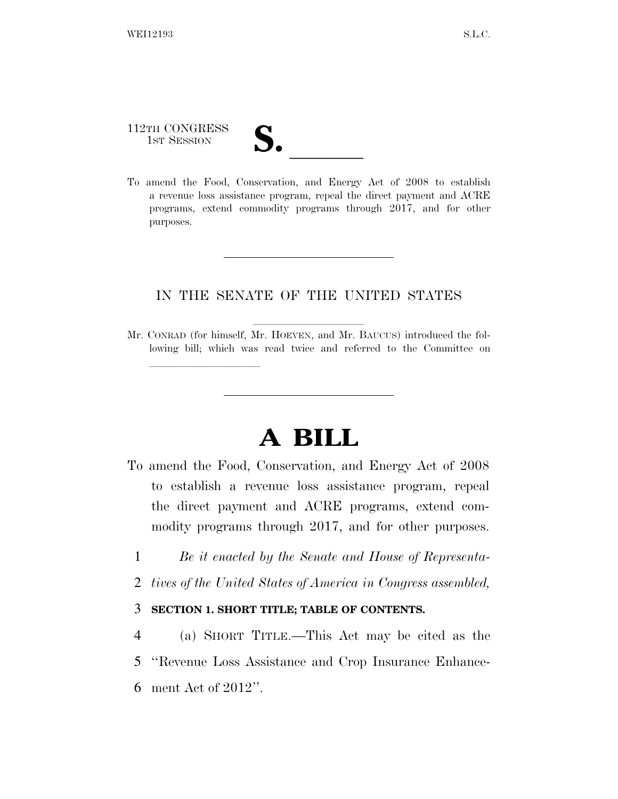# 112TH CONGRESS

lla se al constituir a la constituir a la constituir a la constituir a la constituir a la constituir a la cons<br>La constituir a la constituir a la constituir a la constituir a la constituir a la constituir a la constituir

112TH CONGRESS<br>
1ST SESSION<br>
To amend the Food, Conservation, and Energy Act of 2008 to establish a revenue loss assistance program, repeal the direct payment and ACRE programs, extend commodity programs through 2017, and for other purposes.

### IN THE SENATE OF THE UNITED STATES

Mr. CONRAD (for himself, Mr. HOEVEN, and Mr. BAUCUS) introduced the following bill; which was read twice and referred to the Committee on

## **A BILL**

- To amend the Food, Conservation, and Energy Act of 2008 to establish a revenue loss assistance program, repeal the direct payment and ACRE programs, extend commodity programs through 2017, and for other purposes.
	- 1 *Be it enacted by the Senate and House of Representa-*
	- 2 *tives of the United States of America in Congress assembled,*

#### 3 **SECTION 1. SHORT TITLE; TABLE OF CONTENTS.**

4 (a) SHORT TITLE.—This Act may be cited as the 5 ''Revenue Loss Assistance and Crop Insurance Enhance-6 ment Act of 2012''.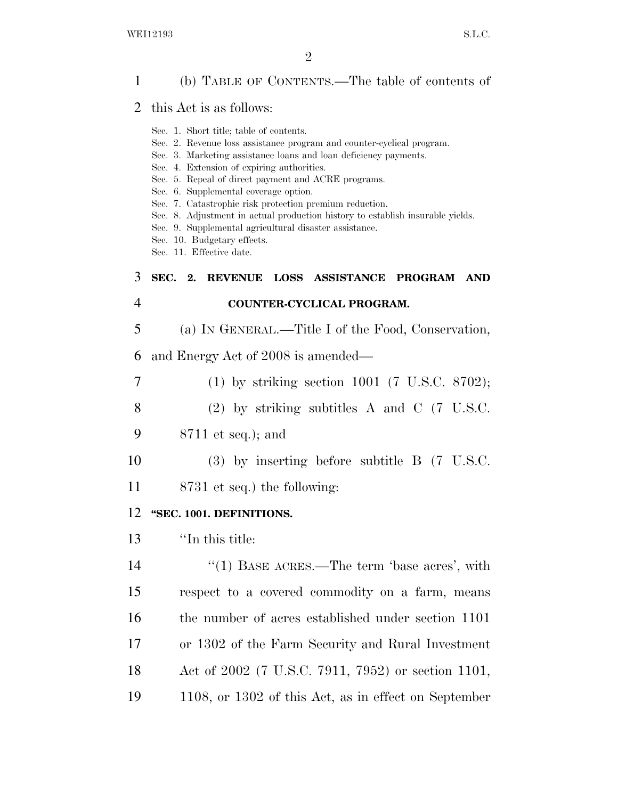| $\mathbf 1$ | (b) TABLE OF CONTENTS.—The table of contents of                                                                                                                                                                                                                                                                                                                                                                                                                                                                                                                                                      |
|-------------|------------------------------------------------------------------------------------------------------------------------------------------------------------------------------------------------------------------------------------------------------------------------------------------------------------------------------------------------------------------------------------------------------------------------------------------------------------------------------------------------------------------------------------------------------------------------------------------------------|
| 2           | this Act is as follows:                                                                                                                                                                                                                                                                                                                                                                                                                                                                                                                                                                              |
|             | Sec. 1. Short title; table of contents.<br>Sec. 2. Revenue loss assistance program and counter-cyclical program.<br>Sec. 3. Marketing assistance loans and loan deficiency payments.<br>Sec. 4. Extension of expiring authorities.<br>Sec. 5. Repeal of direct payment and ACRE programs.<br>Sec. 6. Supplemental coverage option.<br>Sec. 7. Catastrophic risk protection premium reduction.<br>Sec. 8. Adjustment in actual production history to establish insurable yields.<br>Sec. 9. Supplemental agricultural disaster assistance.<br>Sec. 10. Budgetary effects.<br>Sec. 11. Effective date. |
| 3           | SEC. 2.<br>REVENUE LOSS ASSISTANCE PROGRAM AND                                                                                                                                                                                                                                                                                                                                                                                                                                                                                                                                                       |
| 4           | COUNTER-CYCLICAL PROGRAM.                                                                                                                                                                                                                                                                                                                                                                                                                                                                                                                                                                            |
| 5           | (a) IN GENERAL.—Title I of the Food, Conservation,                                                                                                                                                                                                                                                                                                                                                                                                                                                                                                                                                   |
| 6           | and Energy Act of 2008 is amended—                                                                                                                                                                                                                                                                                                                                                                                                                                                                                                                                                                   |
| 7           | $(1)$ by striking section 1001 $(7 \text{ U.S.C. } 8702);$                                                                                                                                                                                                                                                                                                                                                                                                                                                                                                                                           |
| 8           | $(2)$ by striking subtitles A and C $(7 \text{ U.S.C.})$                                                                                                                                                                                                                                                                                                                                                                                                                                                                                                                                             |
| 9           | $8711$ et seq.); and                                                                                                                                                                                                                                                                                                                                                                                                                                                                                                                                                                                 |
| 10          | $(3)$ by inserting before subtitle B $(7 \text{ U.S.C.})$                                                                                                                                                                                                                                                                                                                                                                                                                                                                                                                                            |
| 11          | 8731 et seq.) the following:                                                                                                                                                                                                                                                                                                                                                                                                                                                                                                                                                                         |
| 12          | "SEC. 1001. DEFINITIONS.                                                                                                                                                                                                                                                                                                                                                                                                                                                                                                                                                                             |
| 13          | "In this title:                                                                                                                                                                                                                                                                                                                                                                                                                                                                                                                                                                                      |
| 14          | "(1) BASE ACRES.—The term 'base acres', with                                                                                                                                                                                                                                                                                                                                                                                                                                                                                                                                                         |
| 15          | respect to a covered commodity on a farm, means                                                                                                                                                                                                                                                                                                                                                                                                                                                                                                                                                      |
| 16          | the number of acres established under section 1101                                                                                                                                                                                                                                                                                                                                                                                                                                                                                                                                                   |
| 17          | or 1302 of the Farm Security and Rural Investment                                                                                                                                                                                                                                                                                                                                                                                                                                                                                                                                                    |
| 18          | Act of 2002 (7 U.S.C. 7911, 7952) or section 1101,                                                                                                                                                                                                                                                                                                                                                                                                                                                                                                                                                   |
| 19          | 1108, or 1302 of this Act, as in effect on September                                                                                                                                                                                                                                                                                                                                                                                                                                                                                                                                                 |
|             |                                                                                                                                                                                                                                                                                                                                                                                                                                                                                                                                                                                                      |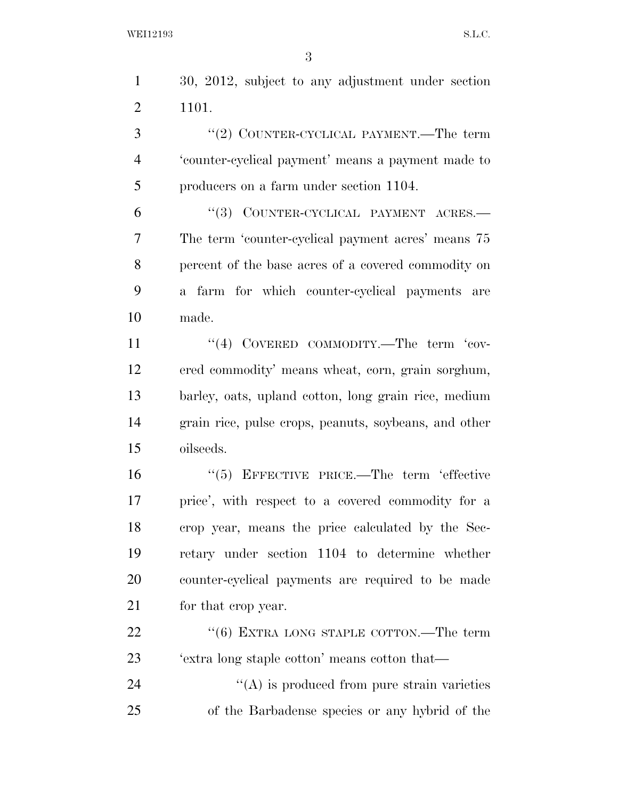30, 2012, subject to any adjustment under section 1101.

 ''(2) COUNTER-CYCLICAL PAYMENT.—The term 'counter-cyclical payment' means a payment made to producers on a farm under section 1104.

 ''(3) COUNTER-CYCLICAL PAYMENT ACRES.— The term 'counter-cyclical payment acres' means 75 percent of the base acres of a covered commodity on a farm for which counter-cyclical payments are made.

11 ''(4) COVERED COMMODITY.—The term 'cov- ered commodity' means wheat, corn, grain sorghum, barley, oats, upland cotton, long grain rice, medium grain rice, pulse crops, peanuts, soybeans, and other oilseeds.

 ''(5) EFFECTIVE PRICE.—The term 'effective price', with respect to a covered commodity for a crop year, means the price calculated by the Sec- retary under section 1104 to determine whether counter-cyclical payments are required to be made 21 for that crop year.

22 "(6) EXTRA LONG STAPLE COTTON.—The term 'extra long staple cotton' means cotton that—

24  $\langle (A)$  is produced from pure strain varieties of the Barbadense species or any hybrid of the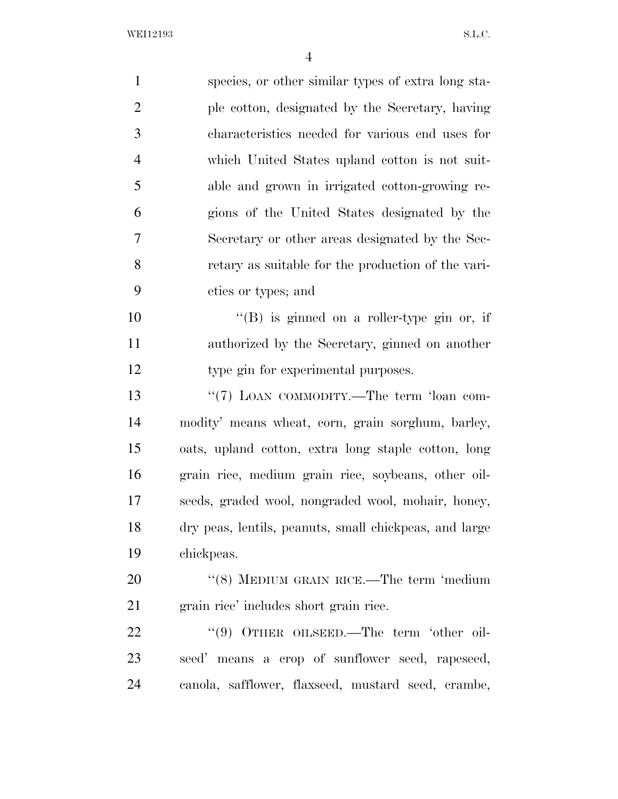| $\mathbf{1}$   | species, or other similar types of extra long sta-     |
|----------------|--------------------------------------------------------|
| $\overline{2}$ | ple cotton, designated by the Secretary, having        |
| 3              | characteristics needed for various end uses for        |
| $\overline{4}$ | which United States upland cotton is not suit-         |
| 5              | able and grown in irrigated cotton-growing re-         |
| 6              | gions of the United States designated by the           |
| 7              | Secretary or other areas designated by the Sec-        |
| 8              | retary as suitable for the production of the vari-     |
| 9              | eties or types; and                                    |
| 10             | "(B) is ginned on a roller-type gin or, if             |
| 11             | authorized by the Secretary, ginned on another         |
| 12             | type gin for experimental purposes.                    |
| 13             | "(7) LOAN COMMODITY.—The term 'loan com-               |
| 14             | modity' means wheat, corn, grain sorghum, barley,      |
| 15             | oats, upland cotton, extra long staple cotton, long    |
| 16             | grain rice, medium grain rice, soybeans, other oil-    |
| 17             | seeds, graded wool, nongraded wool, mohair, honey,     |
| 18             | dry peas, lentils, peanuts, small chickpeas, and large |
| 19             | chickpeas.                                             |
| 20             | " $(8)$ MEDIUM GRAIN RICE.—The term 'medium            |
| 21             | grain rice' includes short grain rice.                 |
| 22             | $(9)$ OTHER OILSEED.—The term 'other oil-              |
| 23             | seed' means a crop of sunflower seed, rapeseed,        |
| 24             | canola, safflower, flaxseed, mustard seed, crambe,     |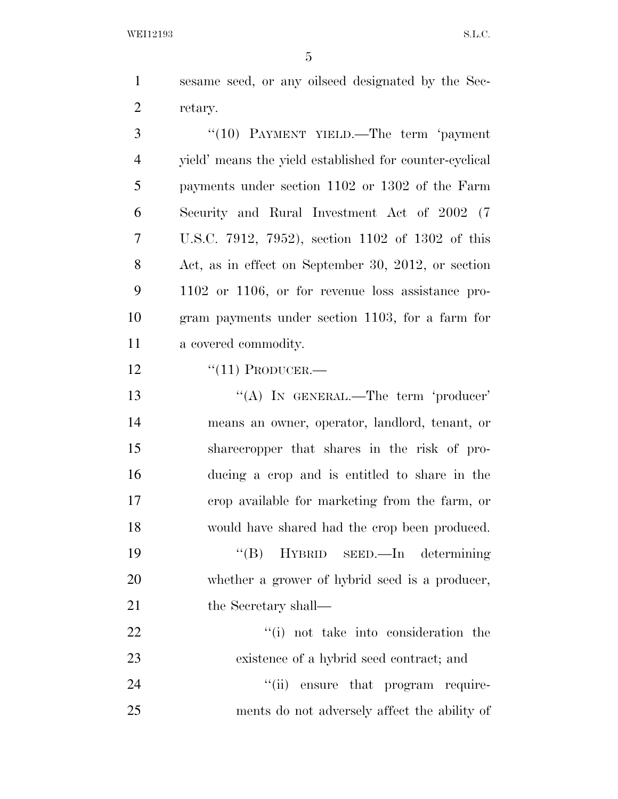sesame seed, or any oilseed designated by the Sec-retary.

 ''(10) PAYMENT YIELD.—The term 'payment yield' means the yield established for counter-cyclical payments under section 1102 or 1302 of the Farm Security and Rural Investment Act of 2002 (7 U.S.C. 7912, 7952), section 1102 of 1302 of this Act, as in effect on September 30, 2012, or section 1102 or 1106, or for revenue loss assistance pro- gram payments under section 1103, for a farm for a covered commodity.

''(11) PRODUCER.—

13 "(A) IN GENERAL.—The term 'producer' means an owner, operator, landlord, tenant, or sharecropper that shares in the risk of pro- ducing a crop and is entitled to share in the crop available for marketing from the farm, or would have shared had the crop been produced. ''(B) HYBRID SEED.—In determining whether a grower of hybrid seed is a producer, 21 the Secretary shall—  $\frac{1}{2}$   $\frac{1}{2}$  if the take into consideration the

existence of a hybrid seed contract; and

24  $(iii)$  ensure that program require-ments do not adversely affect the ability of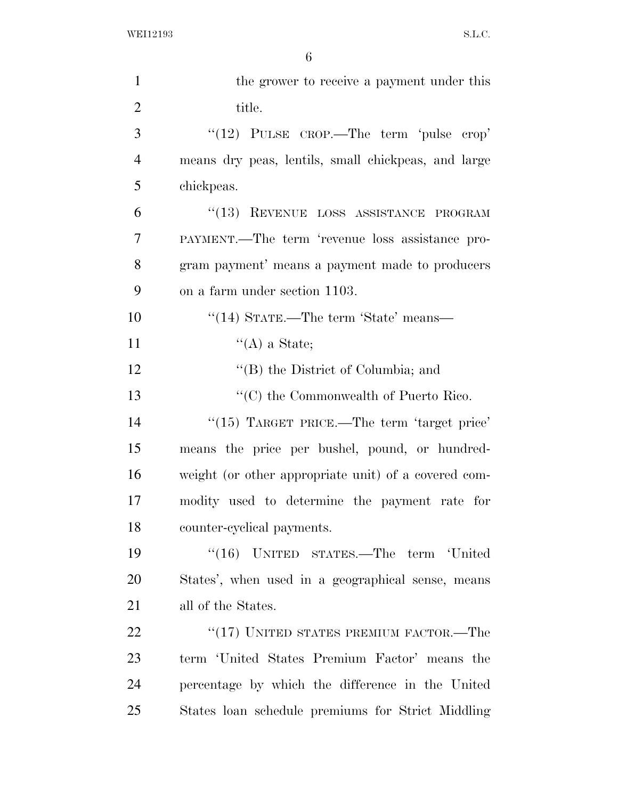| $\mathbf{1}$   | the grower to receive a payment under this                 |
|----------------|------------------------------------------------------------|
| $\overline{2}$ | title.                                                     |
| 3              | " $(12)$ PULSE CROP.—The term 'pulse crop'                 |
| $\overline{4}$ | means dry peas, lentils, small chickpeas, and large        |
| 5              | chickpeas.                                                 |
| 6              | "(13) REVENUE LOSS ASSISTANCE PROGRAM                      |
| 7              | PAYMENT.—The term 'revenue loss assistance pro-            |
| 8              | gram payment' means a payment made to producers            |
| 9              | on a farm under section 1103.                              |
| 10             | "(14) STATE.—The term 'State' means—                       |
| 11             | $\lq\lq$ (A) a State;                                      |
| 12             | "(B) the District of Columbia; and                         |
| 13             | $\lq\lq$ <sup>*</sup> (C) the Commonwealth of Puerto Rico. |
| 14             | "(15) TARGET PRICE.—The term 'target price'                |
| 15             | means the price per bushel, pound, or hundred-             |
| 16             | weight (or other appropriate unit) of a covered com-       |
| 17             | modity used to determine the payment rate for              |
| 18             | counter-cyclical payments.                                 |
| 19             | "(16) UNITED STATES.—The term 'United                      |
| 20             | States', when used in a geographical sense, means          |
| 21             | all of the States.                                         |
| 22             | " $(17)$ UNITED STATES PREMIUM FACTOR.—The                 |
| 23             | term 'United States Premium Factor' means the              |
| 24             | percentage by which the difference in the United           |
| 25             | States loan schedule premiums for Strict Middling          |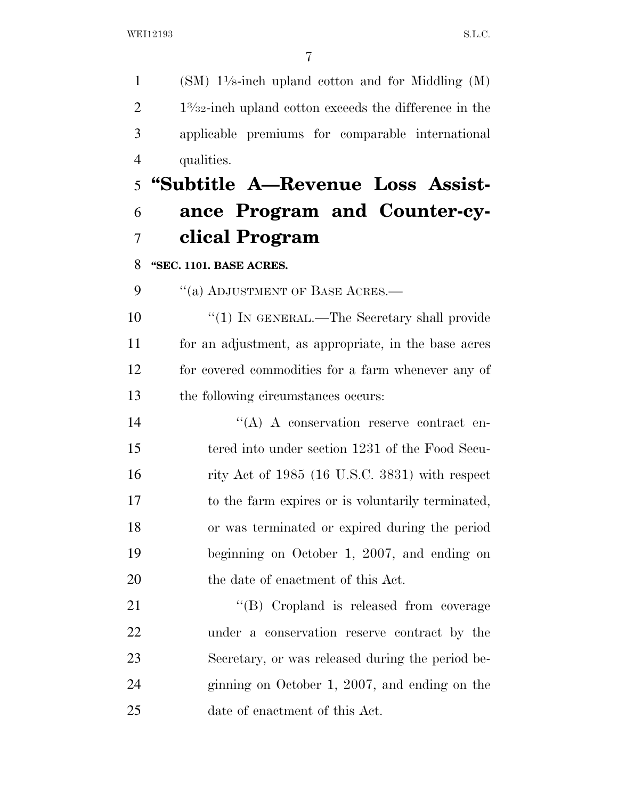1 (SM)  $1\frac{1}{s}$ -inch upland cotton and for Middling (M)  $2 \frac{13}{32}$ -inch upland cotton exceeds the difference in the applicable premiums for comparable international qualities.

## **''Subtitle A—Revenue Loss Assist- ance Program and Counter-cy-clical Program**

### **''SEC. 1101. BASE ACRES.**

9 "(a) ADJUSTMENT OF BASE ACRES.—

 $\frac{1}{1}$  IN GENERAL.—The Secretary shall provide for an adjustment, as appropriate, in the base acres for covered commodities for a farm whenever any of the following circumstances occurs:

 $((A)$  A conservation reserve contract en- tered into under section 1231 of the Food Secu- rity Act of 1985 (16 U.S.C. 3831) with respect to the farm expires or is voluntarily terminated, or was terminated or expired during the period beginning on October 1, 2007, and ending on 20 the date of enactment of this Act.

21 "'(B) Cropland is released from coverage under a conservation reserve contract by the Secretary, or was released during the period be- ginning on October 1, 2007, and ending on the date of enactment of this Act.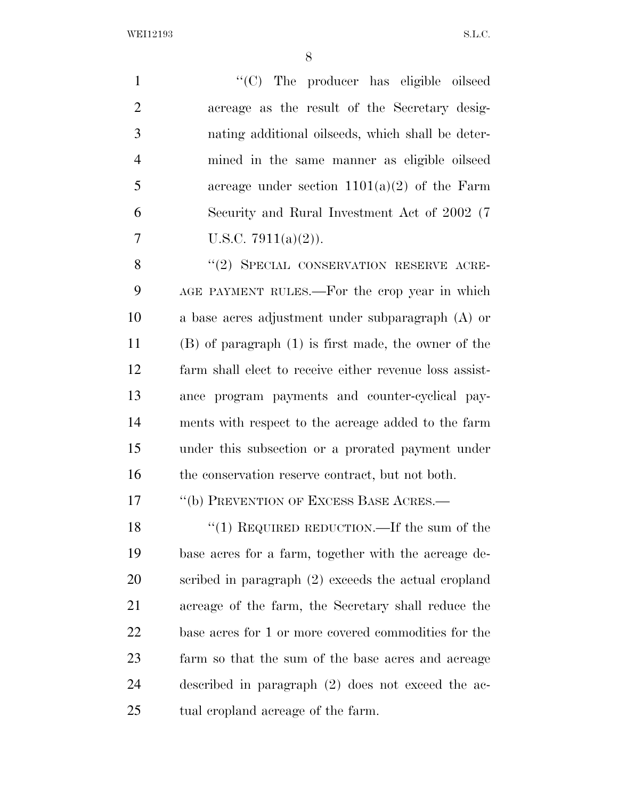$\cdot$  (C) The producer has eligible oilseed acreage as the result of the Secretary desig- nating additional oilseeds, which shall be deter- mined in the same manner as eligible oilseed 5 acreage under section  $1101(a)(2)$  of the Farm Security and Rural Investment Act of 2002 (7  $7 \quad U.S.C. 7911(a)(2)).$ 8 "(2) SPECIAL CONSERVATION RESERVE ACRE-

 AGE PAYMENT RULES.—For the crop year in which a base acres adjustment under subparagraph (A) or (B) of paragraph (1) is first made, the owner of the farm shall elect to receive either revenue loss assist- ance program payments and counter-cyclical pay- ments with respect to the acreage added to the farm under this subsection or a prorated payment under 16 the conservation reserve contract, but not both.

17 "(b) PREVENTION OF EXCESS BASE ACRES.—

18 "(1) REQUIRED REDUCTION.—If the sum of the base acres for a farm, together with the acreage de- scribed in paragraph (2) exceeds the actual cropland acreage of the farm, the Secretary shall reduce the base acres for 1 or more covered commodities for the farm so that the sum of the base acres and acreage described in paragraph (2) does not exceed the ac-tual cropland acreage of the farm.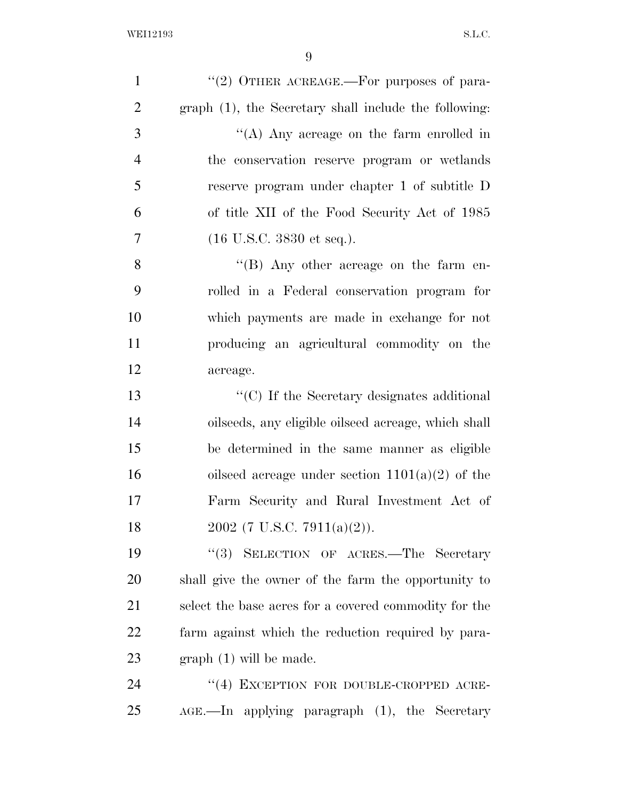| $\mathbf{1}$   | "(2) OTHER ACREAGE.—For purposes of para-             |
|----------------|-------------------------------------------------------|
| $\overline{2}$ | graph (1), the Secretary shall include the following: |
| 3              | "(A) Any acreage on the farm enrolled in              |
| $\overline{4}$ | the conservation reserve program or wetlands          |
| 5              | reserve program under chapter 1 of subtitle D         |
| 6              | of title XII of the Food Security Act of 1985         |
| 7              | $(16 \text{ U.S.C. } 3830 \text{ et seq.}).$          |
| 8              | $\lq\lq (B)$ Any other acreage on the farm en-        |
| 9              | rolled in a Federal conservation program for          |
| 10             | which payments are made in exchange for not           |
| 11             | producing an agricultural commodity on the            |
| 12             | acreage.                                              |
| 13             | $"$ (C) If the Secretary designates additional        |
| 14             | oilseeds, any eligible oilseed acreage, which shall   |
| 15             | be determined in the same manner as eligible          |
| 16             | oilseed acreage under section $1101(a)(2)$ of the     |
| 17             | Farm Security and Rural Investment Act of             |
| 18             | 2002 (7 U.S.C. 7911(a)(2)).                           |
| 19             | "(3) SELECTION OF ACRES.—The Secretary                |
| 20             | shall give the owner of the farm the opportunity to   |
| 21             | select the base acres for a covered commodity for the |
| 22             | farm against which the reduction required by para-    |
| 23             | $graph(1)$ will be made.                              |
| 24             | "(4) EXCEPTION FOR DOUBLE-CROPPED ACRE-               |
| 25             | AGE.—In applying paragraph (1), the Secretary         |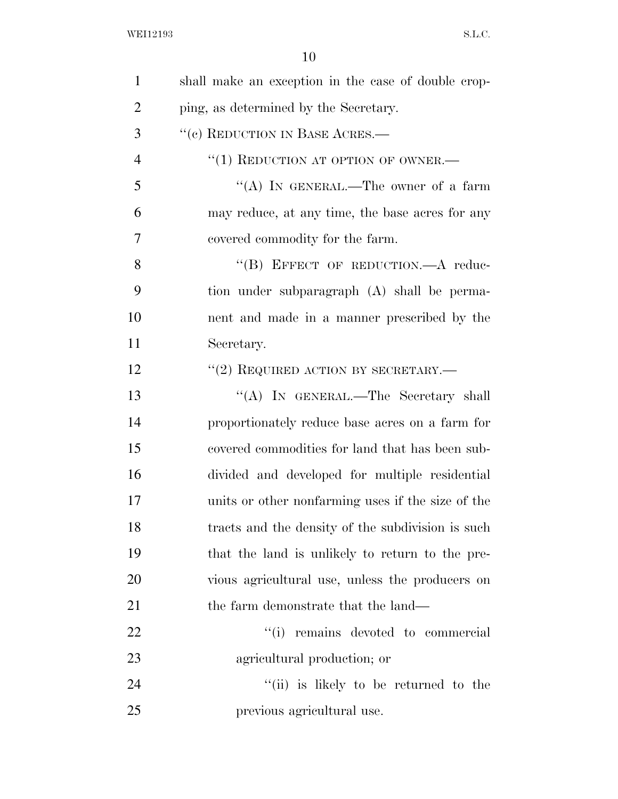| 1              | shall make an exception in the case of double crop- |
|----------------|-----------------------------------------------------|
| $\overline{2}$ | ping, as determined by the Secretary.               |
| 3              | "(c) REDUCTION IN BASE ACRES.—                      |
| $\overline{4}$ | $``(1)$ REDUCTION AT OPTION OF OWNER.—              |
| 5              | "(A) IN GENERAL.—The owner of a farm                |
| 6              | may reduce, at any time, the base acres for any     |
| 7              | covered commodity for the farm.                     |
| 8              | "(B) EFFECT OF REDUCTION.—A reduc-                  |
| 9              | tion under subparagraph (A) shall be perma-         |
| 10             | nent and made in a manner prescribed by the         |
| 11             | Secretary.                                          |
| 12             | "(2) REQUIRED ACTION BY SECRETARY.—                 |
| 13             | "(A) IN GENERAL.—The Secretary shall                |
| 14             | proportionately reduce base acres on a farm for     |
| 15             | covered commodities for land that has been sub-     |
| 16             | divided and developed for multiple residential      |
| 17             | units or other nonfarming uses if the size of the   |
| 18             | tracts and the density of the subdivision is such   |
| 19             | that the land is unlikely to return to the pre-     |
| 20             | vious agricultural use, unless the producers on     |
| 21             | the farm demonstrate that the land—                 |
| 22             | "(i) remains devoted to commercial                  |
| 23             | agricultural production; or                         |
| 24             | "(ii) is likely to be returned to the               |
| 25             | previous agricultural use.                          |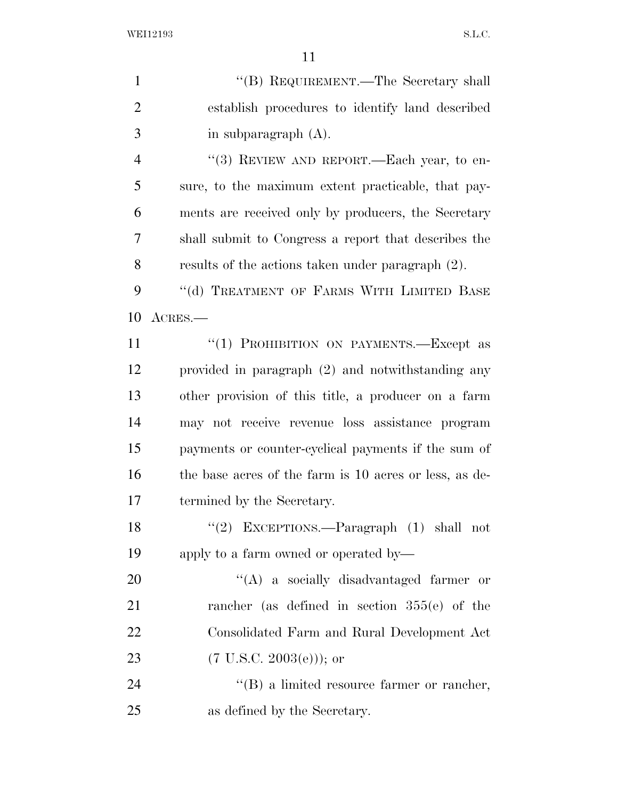1 ''(B) REQUIREMENT.—The Secretary shall establish procedures to identify land described in subparagraph (A). 4 "(3) REVIEW AND REPORT.—Each year, to en- sure, to the maximum extent practicable, that pay- ments are received only by producers, the Secretary shall submit to Congress a report that describes the results of the actions taken under paragraph (2). 9 "(d) TREATMENT OF FARMS WITH LIMITED BASE ACRES.— 11 "(1) PROHIBITION ON PAYMENTS.—Except as provided in paragraph (2) and notwithstanding any other provision of this title, a producer on a farm may not receive revenue loss assistance program payments or counter-cyclical payments if the sum of 16 the base acres of the farm is 10 acres or less, as de- termined by the Secretary. ''(2) EXCEPTIONS.—Paragraph (1) shall not apply to a farm owned or operated by—  $\langle (A)$  a socially disadvantaged farmer or rancher (as defined in section 355(e) of the Consolidated Farm and Rural Development Act  $(7 \text{ U.S.C. } 2003(e))$ ; or  $\langle$  (B) a limited resource farmer or rancher, as defined by the Secretary.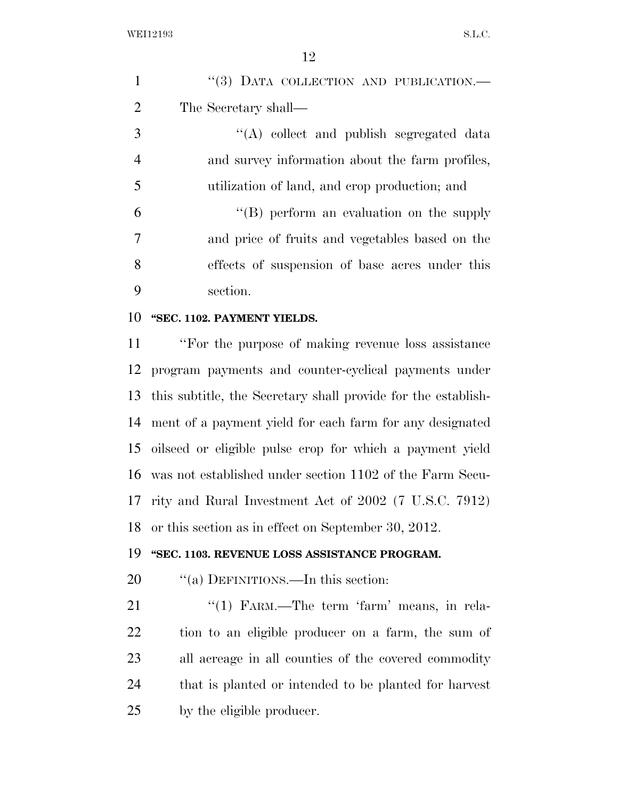| $\mathbf{1}$   | "(3) DATA COLLECTION AND PUBLICATION.-                        |
|----------------|---------------------------------------------------------------|
| $\overline{2}$ | The Secretary shall—                                          |
| 3              | "(A) collect and publish segregated data                      |
| $\overline{4}$ | and survey information about the farm profiles,               |
| 5              | utilization of land, and crop production; and                 |
| 6              | $\lq\lq (B)$ perform an evaluation on the supply              |
| 7              | and price of fruits and vegetables based on the               |
| 8              | effects of suspension of base acres under this                |
| 9              | section.                                                      |
| 10             | "SEC. 1102. PAYMENT YIELDS.                                   |
| 11             | "For the purpose of making revenue loss assistance"           |
| 12             | program payments and counter-cyclical payments under          |
| 13             | this subtitle, the Secretary shall provide for the establish- |
| 14             | ment of a payment yield for each farm for any designated      |
| 15             | oilseed or eligible pulse crop for which a payment yield      |
| 16             | was not established under section 1102 of the Farm Secu-      |
|                | 17 rity and Rural Investment Act of 2002 (7 U.S.C. 7912)      |
| 18             | or this section as in effect on September 30, 2012.           |
| 19             | "SEC. 1103. REVENUE LOSS ASSISTANCE PROGRAM.                  |
| 20             | "(a) DEFINITIONS.—In this section:                            |
| 21             | "(1) FARM.—The term 'farm' means, in rela-                    |
| 22             | tion to an eligible producer on a farm, the sum of            |
| 23             | all acreage in all counties of the covered commodity          |
| 24             | that is planted or intended to be planted for harvest         |
|                |                                                               |

by the eligible producer.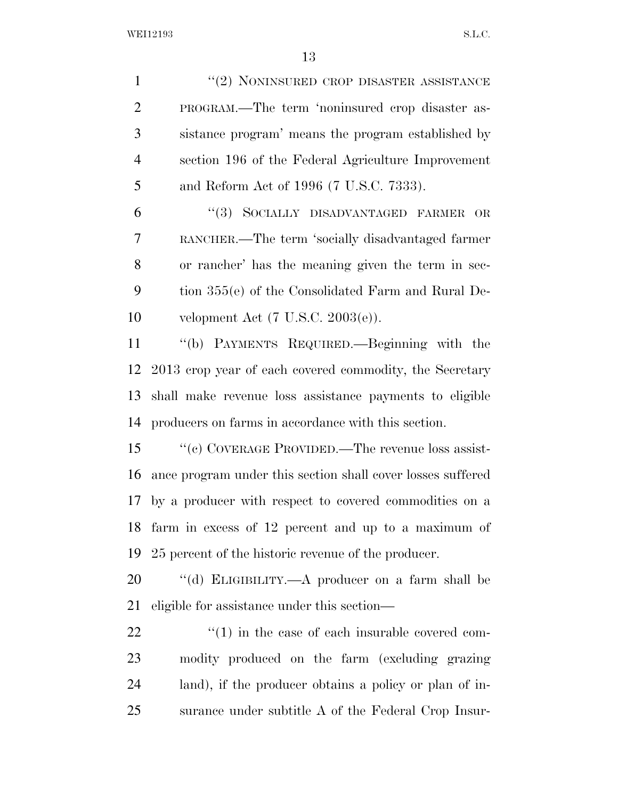1 ''(2) NONINSURED CROP DISASTER ASSISTANCE PROGRAM.—The term 'noninsured crop disaster as- sistance program' means the program established by section 196 of the Federal Agriculture Improvement and Reform Act of 1996 (7 U.S.C. 7333). ''(3) SOCIALLY DISADVANTAGED FARMER OR

 RANCHER.—The term 'socially disadvantaged farmer or rancher' has the meaning given the term in sec- tion 355(e) of the Consolidated Farm and Rural De-velopment Act (7 U.S.C. 2003(e)).

 ''(b) PAYMENTS REQUIRED.—Beginning with the 2013 crop year of each covered commodity, the Secretary shall make revenue loss assistance payments to eligible producers on farms in accordance with this section.

15 "(c) COVERAGE PROVIDED.—The revenue loss assist- ance program under this section shall cover losses suffered by a producer with respect to covered commodities on a farm in excess of 12 percent and up to a maximum of 25 percent of the historic revenue of the producer.

20  $\text{``(d)}$  ELIGIBILITY.—A producer on a farm shall be eligible for assistance under this section—

 $\frac{1}{2}$  (1) in the case of each insurable covered com- modity produced on the farm (excluding grazing land), if the producer obtains a policy or plan of in-surance under subtitle A of the Federal Crop Insur-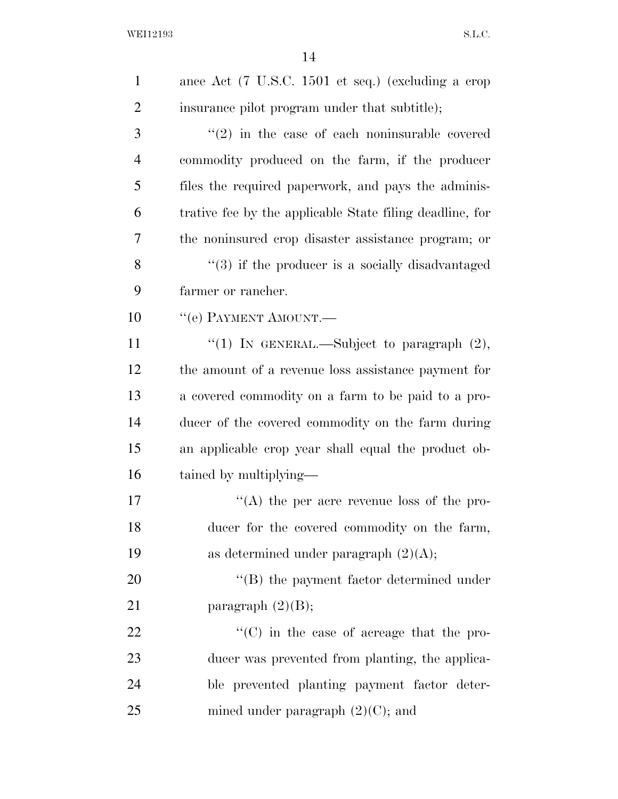| $\mathbf{1}$   | ance Act (7 U.S.C. 1501 et seq.) (excluding a crop            |
|----------------|---------------------------------------------------------------|
| $\overline{2}$ | insurance pilot program under that subtitle);                 |
| 3              | $\cdot\cdot\cdot(2)$ in the case of each noninsurable covered |
| 4              | commodity produced on the farm, if the producer               |
| 5              | files the required paperwork, and pays the adminis-           |
| 6              | trative fee by the applicable State filing deadline, for      |
| 7              | the noninsured crop disaster assistance program; or           |
| 8              | $\cdot\cdot$ (3) if the producer is a socially disadvantaged  |
| 9              | farmer or rancher.                                            |
| 10             | "(e) PAYMENT AMOUNT.—                                         |
| 11             | "(1) IN GENERAL.—Subject to paragraph $(2)$ ,                 |
| 12             | the amount of a revenue loss assistance payment for           |
| 13             | a covered commodity on a farm to be paid to a pro-            |
| 14             | ducer of the covered commodity on the farm during             |
| 15             | an applicable crop year shall equal the product ob-           |
| 16             | tained by multiplying—                                        |
| 17             | $\lq\lq$ the per acre revenue loss of the pro-                |
| 18             | ducer for the covered commodity on the farm,                  |
| 19             | as determined under paragraph $(2)(A)$ ;                      |
| 20             | $\lq\lq$ the payment factor determined under                  |
| 21             | paragraph $(2)(B)$ ;                                          |
| 22             | " $(C)$ in the case of acreage that the pro-                  |
| 23             | ducer was prevented from planting, the applica-               |
| 24             | ble prevented planting payment factor deter-                  |
| 25             | mined under paragraph $(2)(C)$ ; and                          |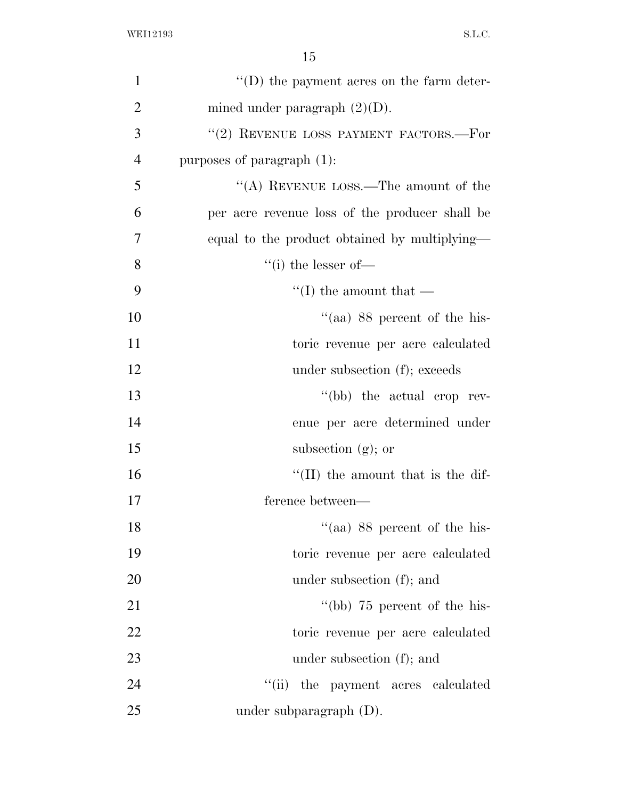| $\mathbf{1}$   | $\lq\lq$ (D) the payment acres on the farm deter-  |
|----------------|----------------------------------------------------|
| $\overline{2}$ | mined under paragraph $(2)(D)$ .                   |
| 3              | "(2) REVENUE LOSS PAYMENT FACTORS.-For             |
| $\overline{4}$ | purposes of paragraph (1):                         |
| 5              | "(A) REVENUE LOSS.—The amount of the               |
| 6              | per acre revenue loss of the producer shall be     |
| 7              | equal to the product obtained by multiplying—      |
| 8              | "(i) the lesser of—                                |
| 9              | "(I) the amount that $-$                           |
| 10             | "(aa) 88 percent of the his-                       |
| 11             | toric revenue per acre calculated                  |
| 12             | under subsection (f); exceeds                      |
| 13             | "(bb) the actual crop rev-                         |
| 14             | enue per acre determined under                     |
| 15             | subsection $(g)$ ; or                              |
| 16             | "(II) the amount that is the dif-                  |
| 17             | ference between—                                   |
| 18             | "(aa) 88 percent of the his-                       |
| 19             | toric revenue per acre calculated                  |
| 20             | under subsection (f); and                          |
| 21             | "(bb) $75$ percent of the his-                     |
| 22             | toric revenue per acre calculated                  |
| 23             | under subsection (f); and                          |
| 24             | $\lq(\mathbf{ii})$<br>the payment acres calculated |
| 25             | under subparagraph $(D)$ .                         |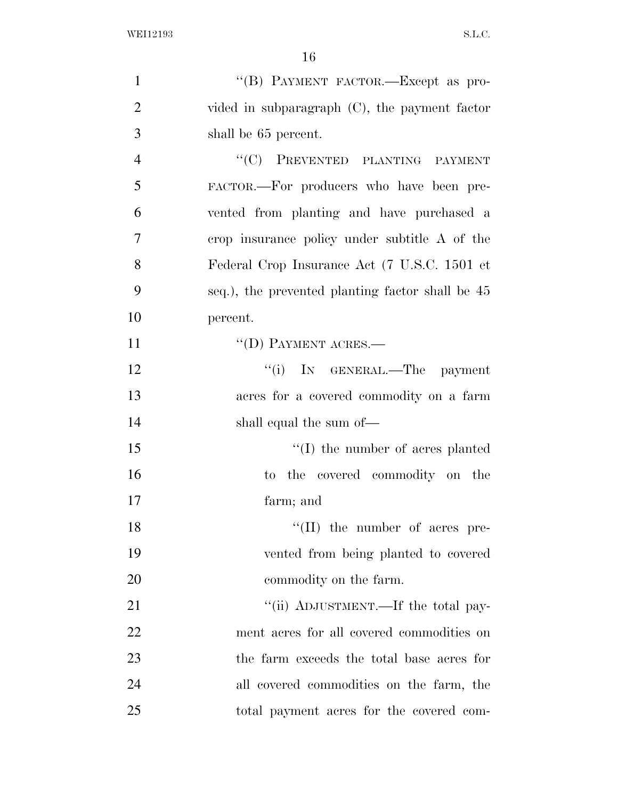| $\mathbf{1}$   | "(B) PAYMENT FACTOR.—Except as pro-              |
|----------------|--------------------------------------------------|
| $\overline{2}$ | vided in subparagraph $(C)$ , the payment factor |
| 3              | shall be 65 percent.                             |
| $\overline{4}$ | $\lq\lq (C)$ PREVENTED PLANTING PAYMENT          |
| 5              | FACTOR.—For producers who have been pre-         |
| 6              | vented from planting and have purchased a        |
| 7              | erop insurance policy under subtitle A of the    |
| 8              | Federal Crop Insurance Act (7 U.S.C. 1501 et     |
| 9              | seq.), the prevented planting factor shall be 45 |
| 10             | percent.                                         |
| 11             | $\lq\lq$ (D) PAYMENT ACRES.—                     |
| 12             | "(i) IN GENERAL.—The payment                     |
| 13             | acres for a covered commodity on a farm          |
| 14             | shall equal the sum of—                          |
| 15             | $\lq\lq$ the number of acres planted             |
| 16             | to the covered commodity on the                  |
| 17             | farm; and                                        |
| 18             | $\lq\lq$ (II) the number of acres pre-           |
| 19             | vented from being planted to covered             |
| 20             | commodity on the farm.                           |
| 21             | "(ii) ADJUSTMENT.—If the total pay-              |
| 22             | ment acres for all covered commodities on        |
| 23             | the farm exceeds the total base acres for        |
| 24             | all covered commodities on the farm, the         |
| 25             | total payment acres for the covered com-         |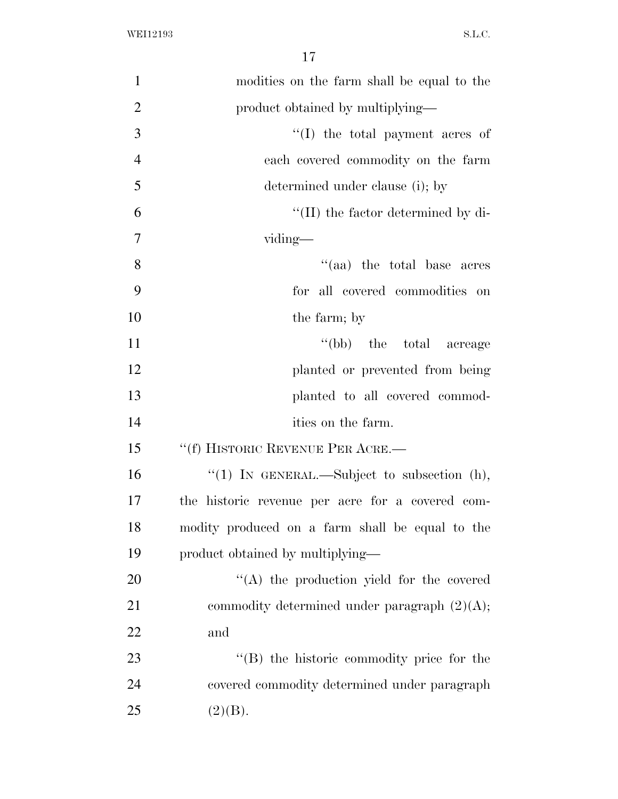| $\mathbf{1}$   | modities on the farm shall be equal to the        |
|----------------|---------------------------------------------------|
| $\overline{2}$ | product obtained by multiplying—                  |
| 3              | $\lq\lq$ the total payment acres of               |
| $\overline{4}$ | each covered commodity on the farm                |
| 5              | determined under clause (i); by                   |
| 6              | $\lq\lq$ (II) the factor determined by di-        |
| $\overline{7}$ | $viding$ —                                        |
| 8              | "(aa) the total base acres                        |
| 9              | for all covered commodities on                    |
| 10             | the farm; by                                      |
| 11             | "(bb) the total acreage                           |
| 12             | planted or prevented from being                   |
| 13             | planted to all covered commod-                    |
| 14             | ities on the farm.                                |
| 15             | "(f) HISTORIC REVENUE PER ACRE.—                  |
| 16             | "(1) IN GENERAL.—Subject to subsection $(h)$ ,    |
| 17             | the historic revenue per acre for a covered com-  |
| 18             | modity produced on a farm shall be equal to the   |
| 19             | product obtained by multiplying—                  |
| <b>20</b>      | $\lq\lq$ the production yield for the covered     |
| 21             | commodity determined under paragraph $(2)(A)$ ;   |
| 22             | and                                               |
| 23             | $\lq\lq (B)$ the historic commodity price for the |
| 24             | covered commodity determined under paragraph      |
| 25             | (2)(B).                                           |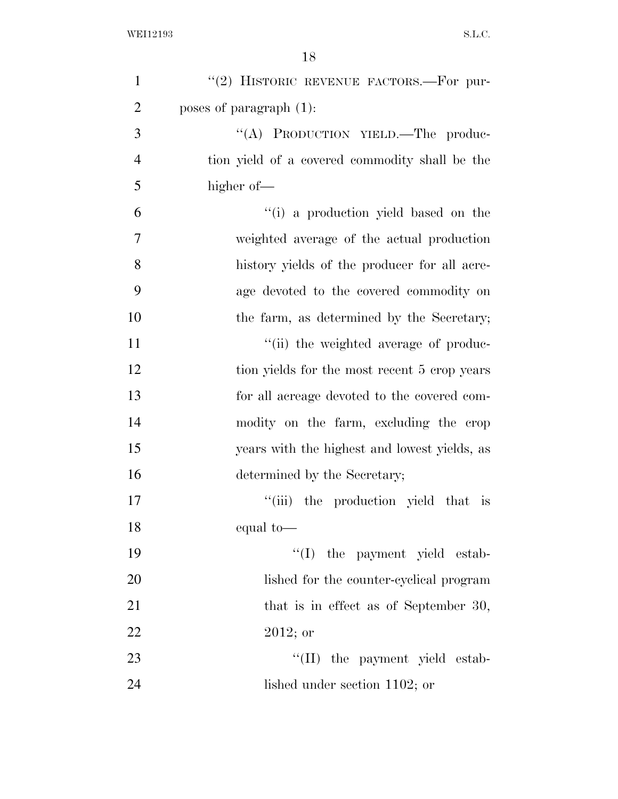| $\mathbf{1}$   | "(2) HISTORIC REVENUE FACTORS.-For pur-        |
|----------------|------------------------------------------------|
| $\overline{2}$ | poses of paragraph $(1)$ :                     |
| 3              | "(A) PRODUCTION YIELD.—The produc-             |
| $\overline{4}$ | tion yield of a covered commodity shall be the |
| 5              | higher of—                                     |
| 6              | "(i) a production yield based on the           |
| $\overline{7}$ | weighted average of the actual production      |
| 8              | history yields of the producer for all acre-   |
| 9              | age devoted to the covered commodity on        |
| 10             | the farm, as determined by the Secretary;      |
| 11             | "(ii) the weighted average of produc-          |
| 12             | tion yields for the most recent 5 crop years   |
| 13             | for all acreage devoted to the covered com-    |
| 14             | modity on the farm, excluding the crop         |
| 15             | years with the highest and lowest yields, as   |
| 16             | determined by the Secretary;                   |
| 17             | "(iii) the production yield that is            |
| 18             | equal to-                                      |
| 19             | "(I) the payment yield estab-                  |
| 20             | lished for the counter-cyclical program        |
| 21             | that is in effect as of September 30,          |
| 22             | $2012;$ or                                     |
| 23             | "(II) the payment yield estab-                 |
| 24             | lished under section $1102$ ; or               |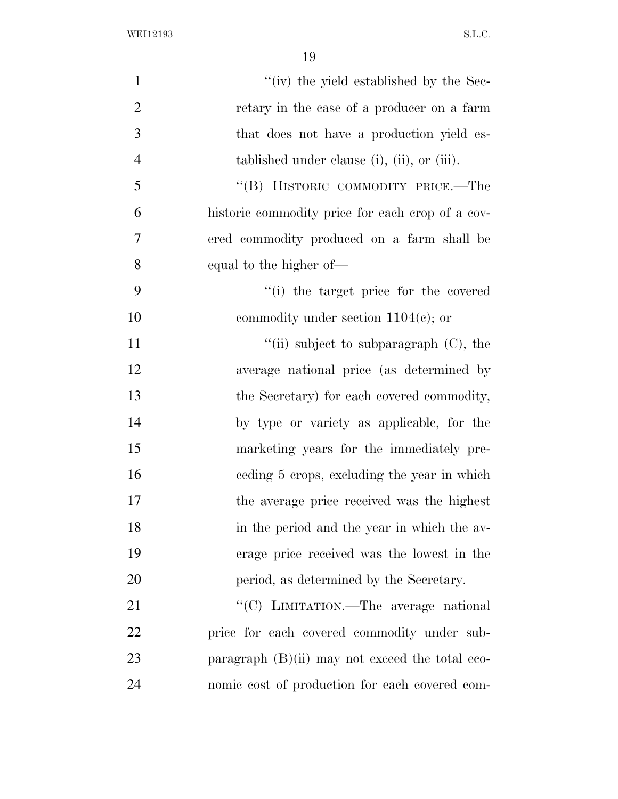| $\mathbf{1}$   | "(iv) the yield established by the Sec-              |
|----------------|------------------------------------------------------|
| $\overline{2}$ | retary in the case of a producer on a farm           |
| 3              | that does not have a production yield es-            |
| $\overline{4}$ | tablished under clause $(i)$ , $(ii)$ , or $(iii)$ . |
| 5              | "(B) HISTORIC COMMODITY PRICE.—The                   |
| 6              | historic commodity price for each crop of a cov-     |
| 7              | ered commodity produced on a farm shall be           |
| 8              | equal to the higher of—                              |
| 9              | "(i) the target price for the covered                |
| 10             | commodity under section $1104(c)$ ; or               |
| 11             | "(ii) subject to subparagraph $(C)$ , the            |
| 12             | average national price (as determined by             |
| 13             | the Secretary) for each covered commodity,           |
| 14             | by type or variety as applicable, for the            |
| 15             | marketing years for the immediately pre-             |
| 16             | eeding 5 crops, excluding the year in which          |
| 17             | the average price received was the highest           |
| 18             | in the period and the year in which the av-          |
| 19             | erage price received was the lowest in the           |
| 20             | period, as determined by the Secretary.              |
| 21             | "(C) LIMITATION.—The average national                |
| 22             | price for each covered commodity under sub-          |
| 23             | paragraph $(B)(ii)$ may not exceed the total eco-    |
| 24             | nomic cost of production for each covered com-       |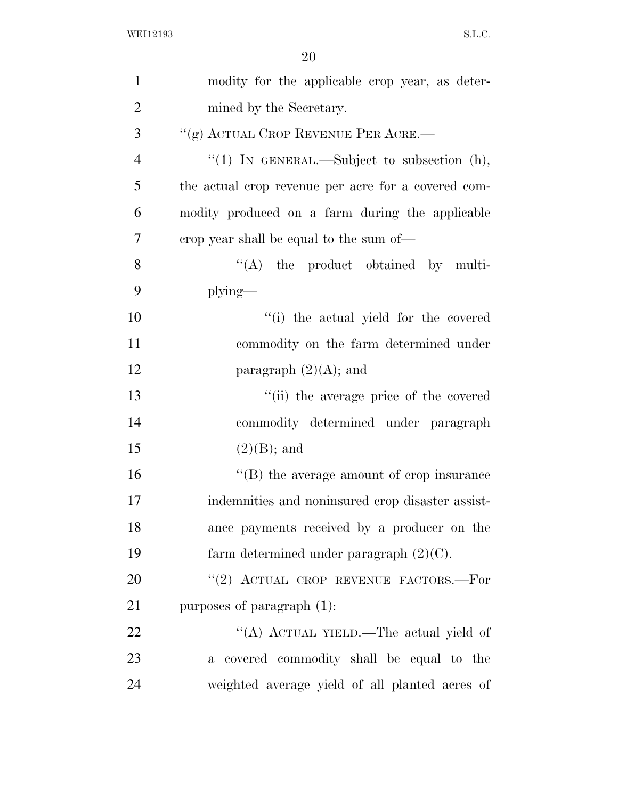| $\mathbf{1}$   | modity for the applicable crop year, as deter-      |
|----------------|-----------------------------------------------------|
| $\overline{2}$ | mined by the Secretary.                             |
| 3              | "(g) ACTUAL CROP REVENUE PER ACRE.-                 |
| $\overline{4}$ | "(1) IN GENERAL.—Subject to subsection $(h)$ ,      |
| 5              | the actual crop revenue per acre for a covered com- |
| 6              | modity produced on a farm during the applicable     |
| 7              | crop year shall be equal to the sum of—             |
| 8              | "(A) the product obtained by multi-                 |
| 9              | plying-                                             |
| 10             | "(i) the actual yield for the covered               |
| 11             | commodity on the farm determined under              |
| 12             | paragraph $(2)(A)$ ; and                            |
| 13             | "(ii) the average price of the covered              |
| 14             | commodity determined under paragraph                |
| 15             | $(2)(B)$ ; and                                      |
| 16             | $\lq\lq$ (B) the average amount of crop insurance   |
| 17             | indemnities and noninsured crop disaster assist-    |
| 18             | ance payments received by a producer on the         |
| 19             | farm determined under paragraph $(2)(C)$ .          |
| 20             | "(2) ACTUAL CROP REVENUE FACTORS.-For               |
| 21             | purposes of paragraph $(1)$ :                       |
| 22             | "(A) ACTUAL YIELD.—The actual yield of              |
| 23             | a covered commodity shall be equal to the           |
| 24             | weighted average yield of all planted acres of      |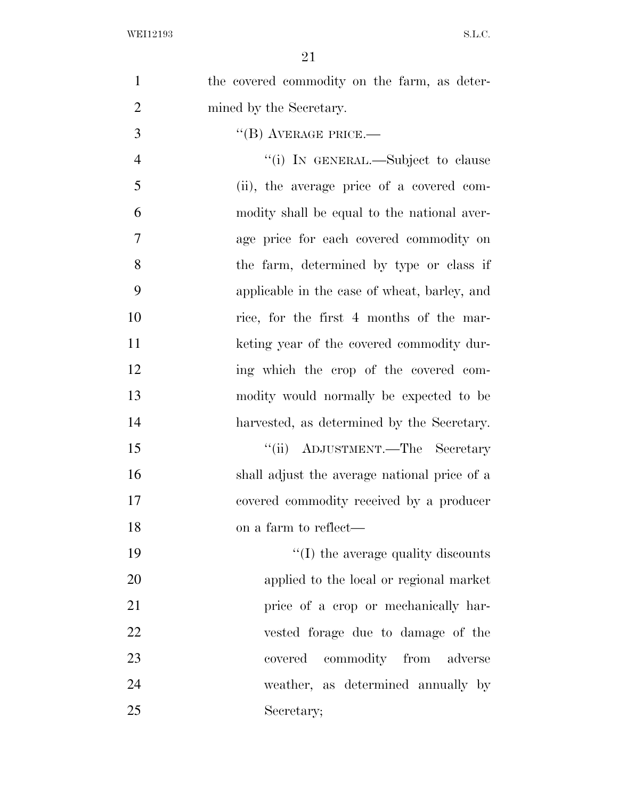| $\mathbf{1}$   | the covered commodity on the farm, as deter- |
|----------------|----------------------------------------------|
| $\overline{2}$ | mined by the Secretary.                      |
| 3              | $\lq\lq (B)$ AVERAGE PRICE.—                 |
| $\overline{4}$ | "(i) IN GENERAL.—Subject to clause           |
| 5              | (ii), the average price of a covered com-    |
| 6              | modity shall be equal to the national aver-  |
| 7              | age price for each covered commodity on      |
| 8              | the farm, determined by type or class if     |
| 9              | applicable in the case of wheat, barley, and |
| 10             | rice, for the first 4 months of the mar-     |
| 11             | keting year of the covered commodity dur-    |
| 12             | ing which the crop of the covered com-       |
| 13             | modity would normally be expected to be      |
| 14             | harvested, as determined by the Secretary.   |
| 15             | "(ii) ADJUSTMENT.—The Secretary              |
| 16             | shall adjust the average national price of a |
| 17             | covered commodity received by a producer     |
| 18             | on a farm to reflect—                        |
| 19             | $\lq\lq$ (I) the average quality discounts   |
| 20             | applied to the local or regional market      |
| 21             | price of a crop or mechanically har-         |
| 22             | vested forage due to damage of the           |
| 23             | commodity from adverse<br>covered            |
| 24             | weather, as determined annually by           |
| 25             | Secretary;                                   |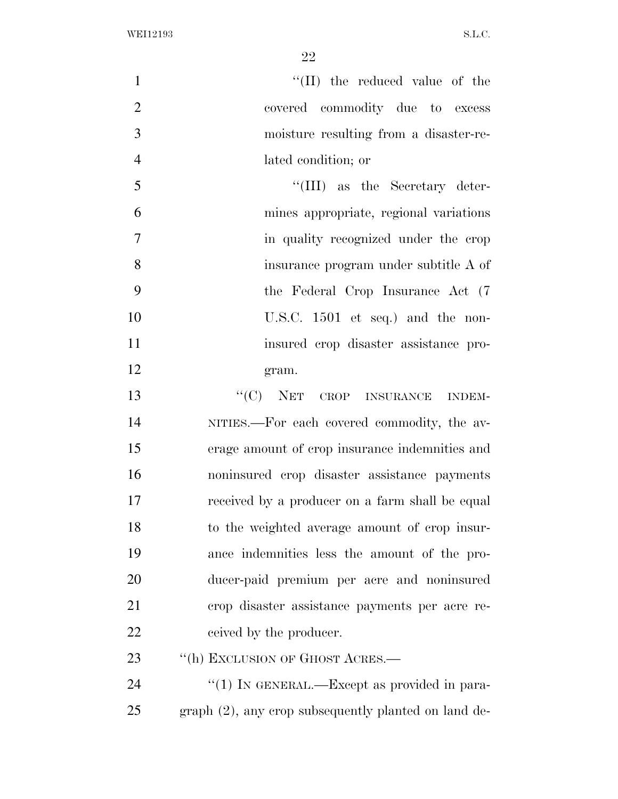$\text{``(II)}$  the reduced value of the 2 covered commodity due to excess moisture resulting from a disaster-re- lated condition; or 5 ''(III) as the Secretary deter- mines appropriate, regional variations in quality recognized under the crop insurance program under subtitle A of the Federal Crop Insurance Act (7 U.S.C. 1501 et seq.) and the non- insured crop disaster assistance pro- gram. 13 "'(C) NET CROP INSURANCE INDEM- NITIES.—For each covered commodity, the av- erage amount of crop insurance indemnities and noninsured crop disaster assistance payments received by a producer on a farm shall be equal to the weighted average amount of crop insur- ance indemnities less the amount of the pro- ducer-paid premium per acre and noninsured crop disaster assistance payments per acre re-22 ceived by the producer. 23 "(h) EXCLUSION OF GHOST ACRES.—  $\frac{1}{1}$  IN GENERAL.—Except as provided in para-

25 graph (2), any crop subsequently planted on land de-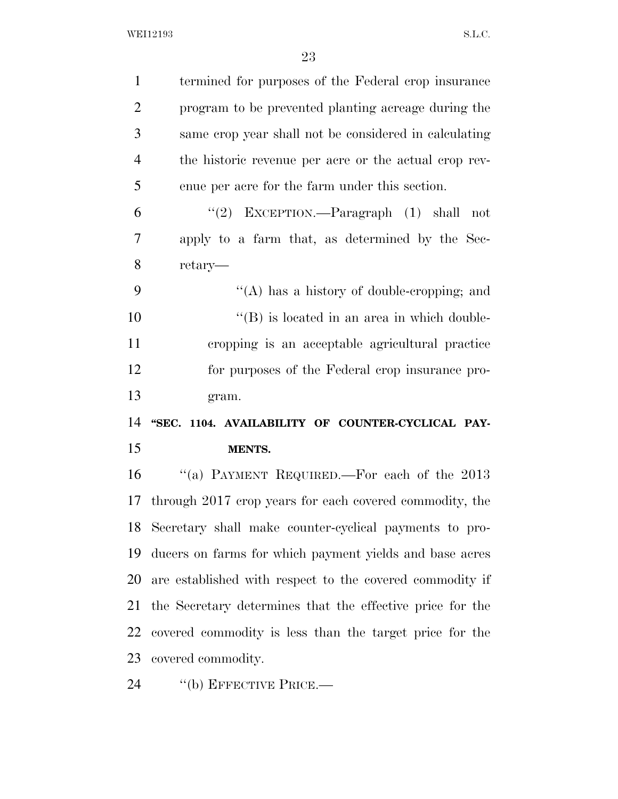| $\mathbf{1}$   | termined for purposes of the Federal crop insurance       |
|----------------|-----------------------------------------------------------|
| $\overline{2}$ | program to be prevented planting acreage during the       |
| 3              | same crop year shall not be considered in calculating     |
| $\overline{4}$ | the historic revenue per acre or the actual crop rev-     |
| 5              | enue per acre for the farm under this section.            |
| 6              | "(2) EXCEPTION.—Paragraph $(1)$ shall not                 |
| 7              | apply to a farm that, as determined by the Sec-           |
| 8              | retary—                                                   |
| 9              | "(A) has a history of double-cropping; and                |
| 10             | $\lq\lq$ (B) is located in an area in which double-       |
| 11             | cropping is an acceptable agricultural practice           |
| 12             | for purposes of the Federal crop insurance pro-           |
|                |                                                           |
| 13             | gram.                                                     |
|                | "SEC. 1104. AVAILABILITY OF COUNTER-CYCLICAL PAY-         |
| 14<br>15       | MENTS.                                                    |
| 16             | "(a) PAYMENT REQUIRED.—For each of the 2013               |
| 17             | through 2017 crop years for each covered commodity, the   |
| 18             | Secretary shall make counter-cyclical payments to pro-    |
| 19             | ducers on farms for which payment yields and base acres   |
| 20             | are established with respect to the covered commodity if  |
| 21             | the Secretary determines that the effective price for the |
| 22             | covered commodity is less than the target price for the   |
| 23             | covered commodity.                                        |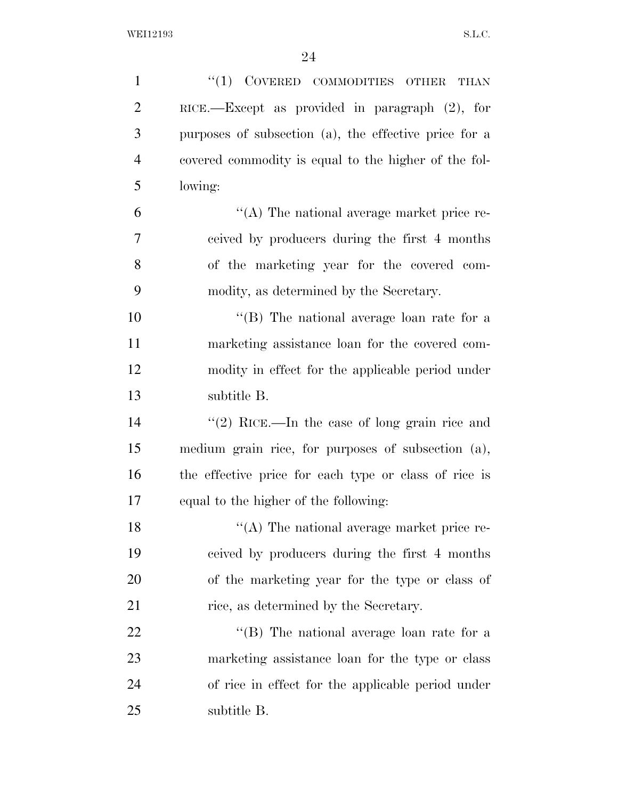| $\mathbf{1}$   | $``(1)$ COVERED COMMODITIES OTHER THAN                |
|----------------|-------------------------------------------------------|
| $\overline{2}$ | RICE.—Except as provided in paragraph $(2)$ , for     |
| 3              | purposes of subsection (a), the effective price for a |
| $\overline{4}$ | covered commodity is equal to the higher of the fol-  |
| 5              | lowing:                                               |
| 6              | $\lq\lq$ . The national average market price re-      |
| 7              | ceived by producers during the first 4 months         |
| 8              | of the marketing year for the covered com-            |
| 9              | modity, as determined by the Secretary.               |
| 10             | "(B) The national average loan rate for a             |
| 11             | marketing assistance loan for the covered com-        |
| 12             | modity in effect for the applicable period under      |
| 13             | subtitle B.                                           |
| 14             | "(2) RICE.—In the case of long grain rice and         |
| 15             | medium grain rice, for purposes of subsection (a),    |
| 16             | the effective price for each type or class of rice is |
| 17             | equal to the higher of the following:                 |
| 18             | "(A) The national average market price re-            |
| 19             | ceived by producers during the first 4 months         |
| 20             | of the marketing year for the type or class of        |
| 21             | rice, as determined by the Secretary.                 |
| 22             | "(B) The national average loan rate for a             |
| 23             | marketing assistance loan for the type or class       |
| 24             | of rice in effect for the applicable period under     |
| 25             | subtitle B.                                           |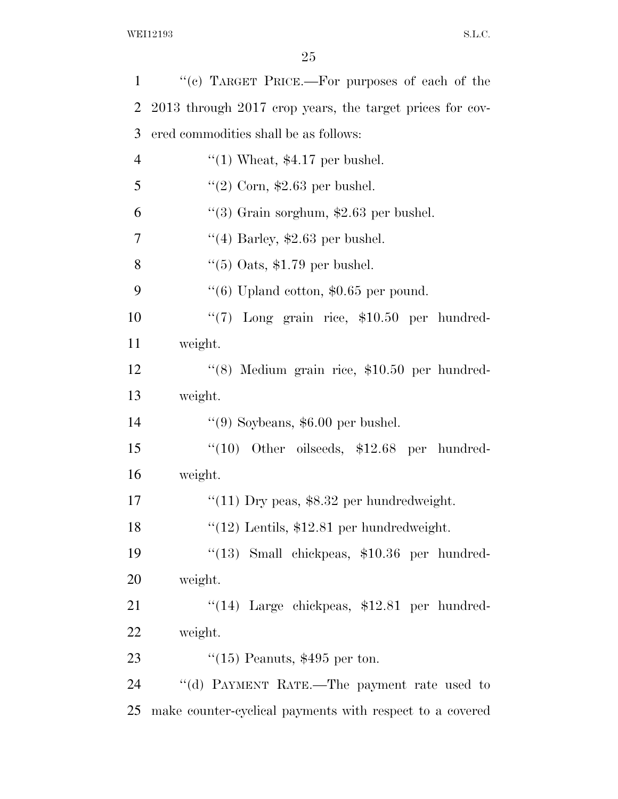| $\mathbf{1}$   | "(c) TARGET PRICE.—For purposes of each of the           |
|----------------|----------------------------------------------------------|
| $\overline{2}$ | 2013 through 2017 crop years, the target prices for cov- |
| 3              | ered commodities shall be as follows:                    |
| 4              | $\cdot\cdot(1)$ Wheat, \$4.17 per bushel.                |
| 5              | "(2) Corn, $$2.63$ per bushel.                           |
| 6              | "(3) Grain sorghum, $$2.63$ per bushel.                  |
| 7              | $(4)$ Barley, \$2.63 per bushel.                         |
| 8              | $\degree$ (5) Oats, \$1.79 per bushel.                   |
| 9              | $(6)$ Upland cotton, \$0.65 per pound.                   |
| 10             | " $(7)$ Long grain rice, \$10.50 per hundred-            |
| 11             | weight.                                                  |
| 12             | $(8)$ Medium grain rice, \$10.50 per hundred-            |
| 13             | weight.                                                  |
| 14             | $\lq(9)$ Soybeans, \$6.00 per bushel.                    |
| 15             | $``(10)$ Other oilseeds, \$12.68 per hundred-            |
| 16             | weight.                                                  |
| 17             | " $(11)$ Dry peas, \$8.32 per hundredweight.             |
| 18             | $"(12)$ Lentils, \$12.81 per hundredweight.              |
| 19             | $(13)$ Small chickpeas, \$10.36 per hundred-             |
| 20             | weight.                                                  |
| 21             | $(14)$ Large chickpeas, \$12.81 per hundred-             |
| 22             | weight.                                                  |
| 23             | $\degree$ (15) Peanuts, \$495 per ton.                   |
| 24             | "(d) PAYMENT RATE.—The payment rate used to              |
| 25             | make counter-cyclical payments with respect to a covered |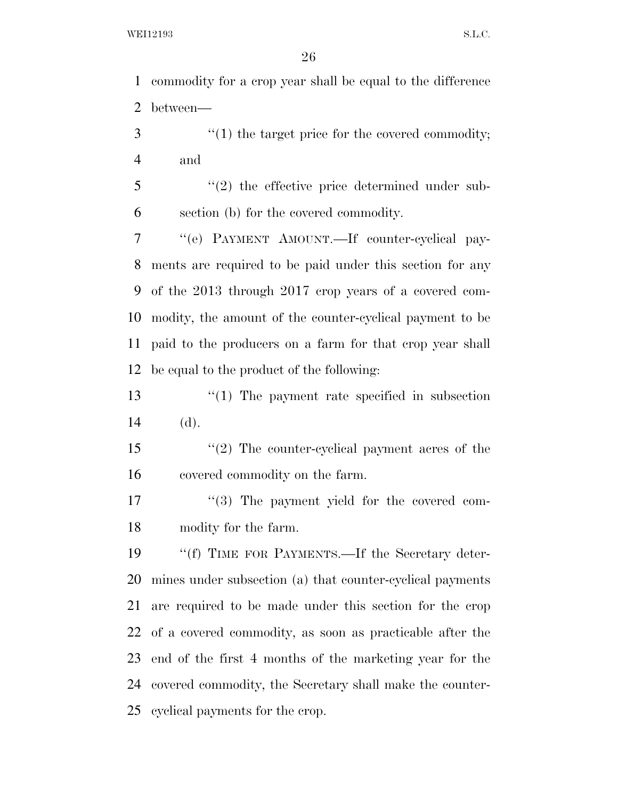commodity for a crop year shall be equal to the difference between—

- 3 '(1) the target price for the covered commodity; and
- 5 "(2) the effective price determined under sub-section (b) for the covered commodity.

 ''(e) PAYMENT AMOUNT.—If counter-cyclical pay- ments are required to be paid under this section for any of the 2013 through 2017 crop years of a covered com- modity, the amount of the counter-cyclical payment to be paid to the producers on a farm for that crop year shall be equal to the product of the following:

13 ''(1) The payment rate specified in subsection (d).

 ''(2) The counter-cyclical payment acres of the covered commodity on the farm.

17  $\frac{17}{2}$  The payment yield for the covered com-modity for the farm.

 ''(f) TIME FOR PAYMENTS.—If the Secretary deter- mines under subsection (a) that counter-cyclical payments are required to be made under this section for the crop of a covered commodity, as soon as practicable after the end of the first 4 months of the marketing year for the covered commodity, the Secretary shall make the counter-cyclical payments for the crop.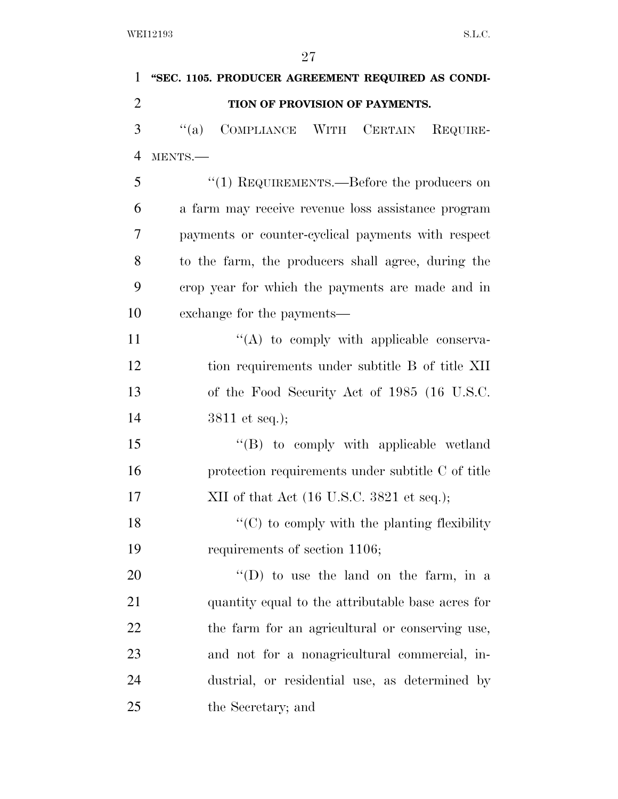| $\mathbf{1}$   | "SEC. 1105. PRODUCER AGREEMENT REQUIRED AS CONDI-            |
|----------------|--------------------------------------------------------------|
| $\overline{2}$ | TION OF PROVISION OF PAYMENTS.                               |
| 3              | $\lq(a)$<br>COMPLIANCE WITH CERTAIN REQUIRE-                 |
| $\overline{4}$ | MENTS.-                                                      |
| 5              | "(1) REQUIREMENTS.—Before the producers on                   |
| 6              | a farm may receive revenue loss assistance program           |
| 7              | payments or counter-cyclical payments with respect           |
| 8              | to the farm, the producers shall agree, during the           |
| 9              | crop year for which the payments are made and in             |
| 10             | exchange for the payments—                                   |
| 11             | $\lq\lq$ to comply with applicable conserva-                 |
| 12             | tion requirements under subtitle B of title XII              |
| 13             | of the Food Security Act of 1985 (16 U.S.C.                  |
| 14             | $3811$ et seq.);                                             |
| 15             | $\lq\lq$ to comply with applicable wetland                   |
| 16             | protection requirements under subtitle C of title            |
| 17             | XII of that Act $(16 \text{ U.S.C. } 3821 \text{ et seq.});$ |
| 18             | $\lq\lq$ (C) to comply with the planting flexibility         |
| 19             | requirements of section 1106;                                |
| 20             | "(D) to use the land on the farm, in a                       |
| 21             | quantity equal to the attributable base acres for            |
| 22             | the farm for an agricultural or conserving use,              |
| 23             | and not for a nonagricultural commercial, in-                |
| 24             | dustrial, or residential use, as determined by               |
| 25             | the Secretary; and                                           |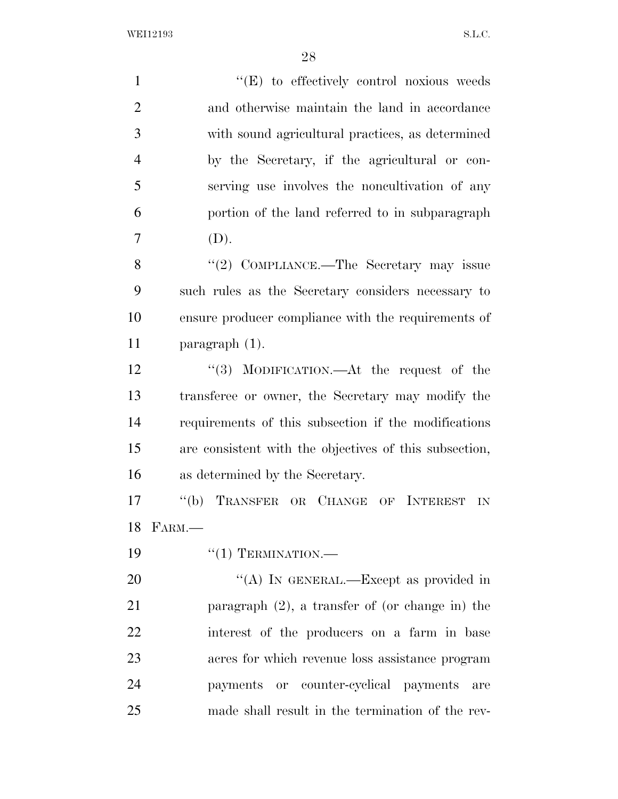$"$ (E) to effectively control noxious weeds and otherwise maintain the land in accordance with sound agricultural practices, as determined by the Secretary, if the agricultural or con- serving use involves the noncultivation of any portion of the land referred to in subparagraph (D). 8 "(2) COMPLIANCE.—The Secretary may issue such rules as the Secretary considers necessary to ensure producer compliance with the requirements of paragraph (1). 12 "(3) MODIFICATION.—At the request of the transferee or owner, the Secretary may modify the requirements of this subsection if the modifications are consistent with the objectives of this subsection, as determined by the Secretary. ''(b) TRANSFER OR CHANGE OF INTEREST IN FARM.— ''(1) TERMINATION.— 20 "(A) IN GENERAL.—Except as provided in paragraph (2), a transfer of (or change in) the interest of the producers on a farm in base acres for which revenue loss assistance program payments or counter-cyclical payments are

made shall result in the termination of the rev-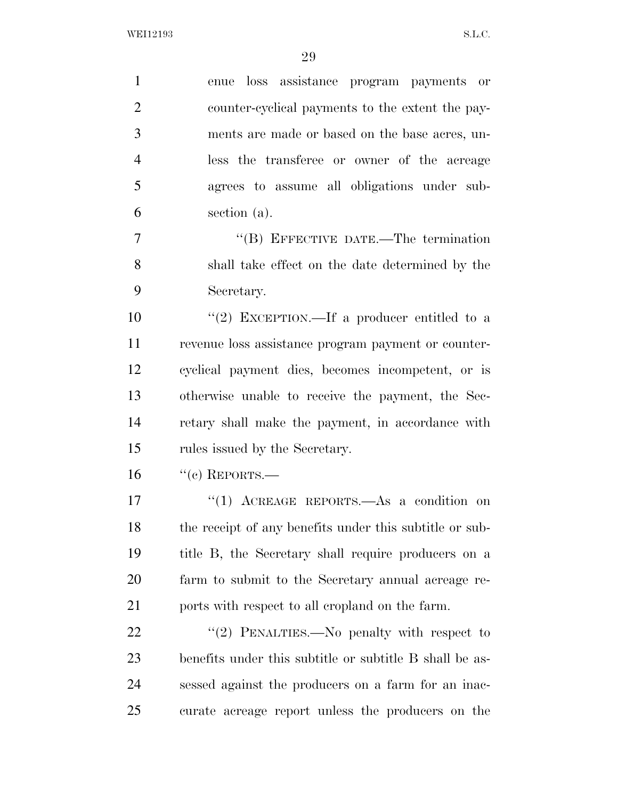| $\mathbf{1}$   | enue loss assistance program payments or                |
|----------------|---------------------------------------------------------|
| $\overline{2}$ | counter-cyclical payments to the extent the pay-        |
| 3              | ments are made or based on the base acres, un-          |
| $\overline{4}$ | less the transferee or owner of the acreage             |
| 5              | agrees to assume all obligations under sub-             |
| 6              | section (a).                                            |
| $\overline{7}$ | "(B) EFFECTIVE DATE.—The termination                    |
| 8              | shall take effect on the date determined by the         |
| 9              | Secretary.                                              |
| 10             | "(2) EXCEPTION.—If a producer entitled to a             |
| 11             | revenue loss assistance program payment or counter-     |
| 12             | cyclical payment dies, becomes incompetent, or is       |
| 13             | otherwise unable to receive the payment, the Sec-       |
| 14             | retary shall make the payment, in accordance with       |
| 15             | rules issued by the Secretary.                          |
| 16             | $``(c)$ REPORTS.—                                       |
| 17             | "(1) ACREAGE REPORTS.—As a condition on                 |
| 18             | the receipt of any benefits under this subtitle or sub- |
| 19             | title B, the Secretary shall require producers on a     |
| 20             | farm to submit to the Secretary annual acreage re-      |
| 21             | ports with respect to all cropland on the farm.         |
| 22             | "(2) PENALTIES.—No penalty with respect to              |
| 23             | benefits under this subtitle or subtitle B shall be as- |
| 24             | sessed against the producers on a farm for an inac-     |
| 25             | curate acreage report unless the producers on the       |
|                |                                                         |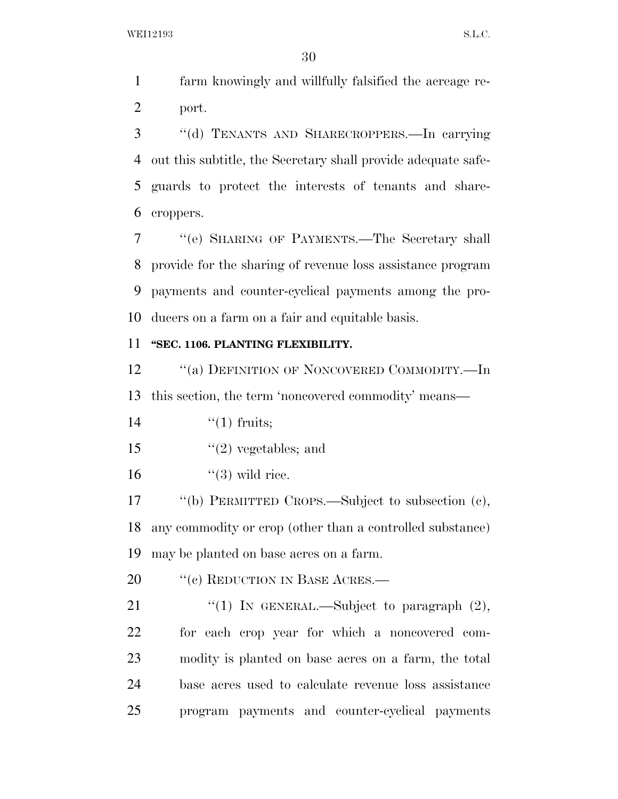farm knowingly and willfully falsified the acreage re-port.

 ''(d) TENANTS AND SHARECROPPERS.—In carrying out this subtitle, the Secretary shall provide adequate safe- guards to protect the interests of tenants and share-croppers.

 ''(e) SHARING OF PAYMENTS.—The Secretary shall provide for the sharing of revenue loss assistance program payments and counter-cyclical payments among the pro-ducers on a farm on a fair and equitable basis.

#### **''SEC. 1106. PLANTING FLEXIBILITY.**

12 "(a) DEFINITION OF NONCOVERED COMMODITY.—In this section, the term 'noncovered commodity' means—

14  $\frac{1}{2}$   $\frac{1}{2}$  fruits;

15  $"(2)$  vegetables; and

''(3) wild rice.

 ''(b) PERMITTED CROPS.—Subject to subsection (c), any commodity or crop (other than a controlled substance) may be planted on base acres on a farm.

20 <sup>''</sup>(c) REDUCTION IN BASE ACRES.

 $\frac{1}{2}$  (1) In GENERAL.—Subject to paragraph (2), for each crop year for which a noncovered com- modity is planted on base acres on a farm, the total base acres used to calculate revenue loss assistance program payments and counter-cyclical payments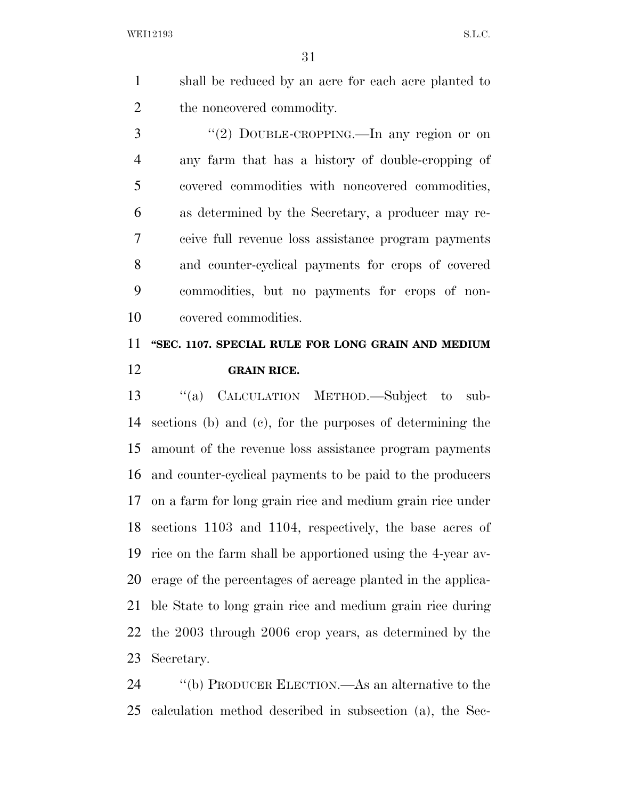shall be reduced by an acre for each acre planted to 2 the noncovered commodity.

3 "(2) DOUBLE-CROPPING.—In any region or on any farm that has a history of double-cropping of covered commodities with noncovered commodities, as determined by the Secretary, a producer may re- ceive full revenue loss assistance program payments and counter-cyclical payments for crops of covered commodities, but no payments for crops of non-covered commodities.

### **''SEC. 1107. SPECIAL RULE FOR LONG GRAIN AND MEDIUM GRAIN RICE.**

 ''(a) CALCULATION METHOD.—Subject to sub- sections (b) and (c), for the purposes of determining the amount of the revenue loss assistance program payments and counter-cyclical payments to be paid to the producers on a farm for long grain rice and medium grain rice under sections 1103 and 1104, respectively, the base acres of rice on the farm shall be apportioned using the 4-year av- erage of the percentages of acreage planted in the applica- ble State to long grain rice and medium grain rice during the 2003 through 2006 crop years, as determined by the Secretary.

 ''(b) PRODUCER ELECTION.—As an alternative to the calculation method described in subsection (a), the Sec-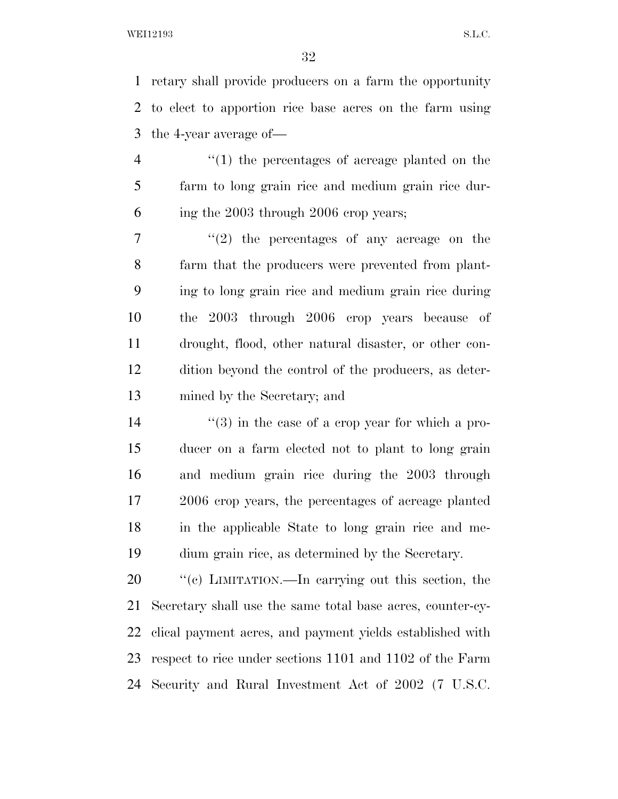retary shall provide producers on a farm the opportunity to elect to apportion rice base acres on the farm using the 4-year average of—

 ''(1) the percentages of acreage planted on the farm to long grain rice and medium grain rice dur-ing the 2003 through 2006 crop years;

 $\frac{1}{2}$  the percentages of any acreage on the farm that the producers were prevented from plant- ing to long grain rice and medium grain rice during the 2003 through 2006 crop years because of drought, flood, other natural disaster, or other con- dition beyond the control of the producers, as deter-mined by the Secretary; and

 $\frac{14}{2}$  ''(3) in the case of a crop year for which a pro- ducer on a farm elected not to plant to long grain and medium grain rice during the 2003 through 2006 crop years, the percentages of acreage planted in the applicable State to long grain rice and me-dium grain rice, as determined by the Secretary.

 $\degree$  (c) LIMITATION.—In carrying out this section, the Secretary shall use the same total base acres, counter-cy- clical payment acres, and payment yields established with respect to rice under sections 1101 and 1102 of the Farm Security and Rural Investment Act of 2002 (7 U.S.C.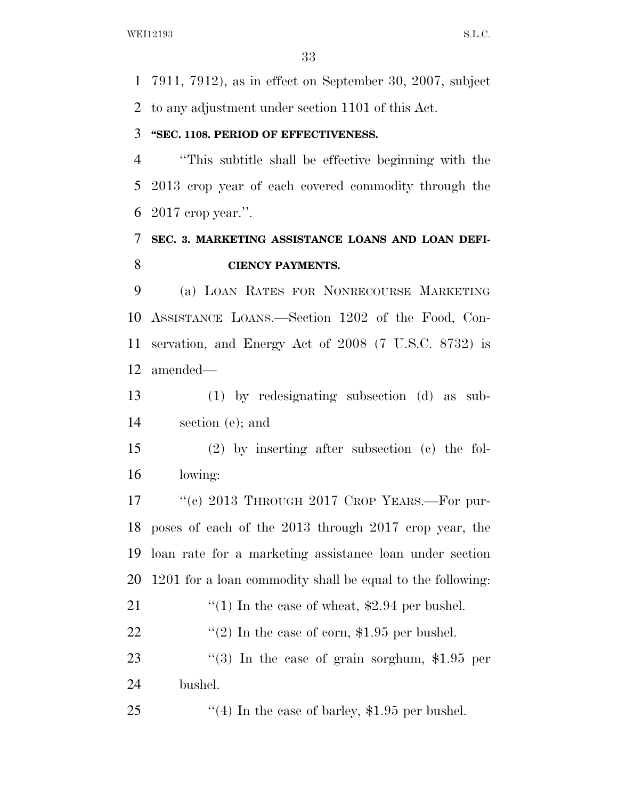7911, 7912), as in effect on September 30, 2007, subject to any adjustment under section 1101 of this Act.

#### **''SEC. 1108. PERIOD OF EFFECTIVENESS.**

 ''This subtitle shall be effective beginning with the 2013 crop year of each covered commodity through the 2017 crop year.''.

### **SEC. 3. MARKETING ASSISTANCE LOANS AND LOAN DEFI-CIENCY PAYMENTS.**

 (a) LOAN RATES FOR NONRECOURSE MARKETING ASSISTANCE LOANS.—Section 1202 of the Food, Con- servation, and Energy Act of 2008 (7 U.S.C. 8732) is amended—

 (1) by redesignating subsection (d) as sub-section (e); and

 (2) by inserting after subsection (c) the fol-lowing:

17 "(c) 2013 THROUGH 2017 CROP YEARS.—For pur- poses of each of the 2013 through 2017 crop year, the loan rate for a marketing assistance loan under section 1201 for a loan commodity shall be equal to the following:

21  $\frac{1}{2}$  (1) In the case of wheat, \$2.94 per bushel.

22  $\frac{((2) \text{ In the case of corn, $1.95 per bushel.})}{(2)}$ 

23  $\frac{4}{3}$  In the case of grain sorghum, \$1.95 per bushel.

25  $\frac{4}{10}$  In the case of barley, \$1.95 per bushel.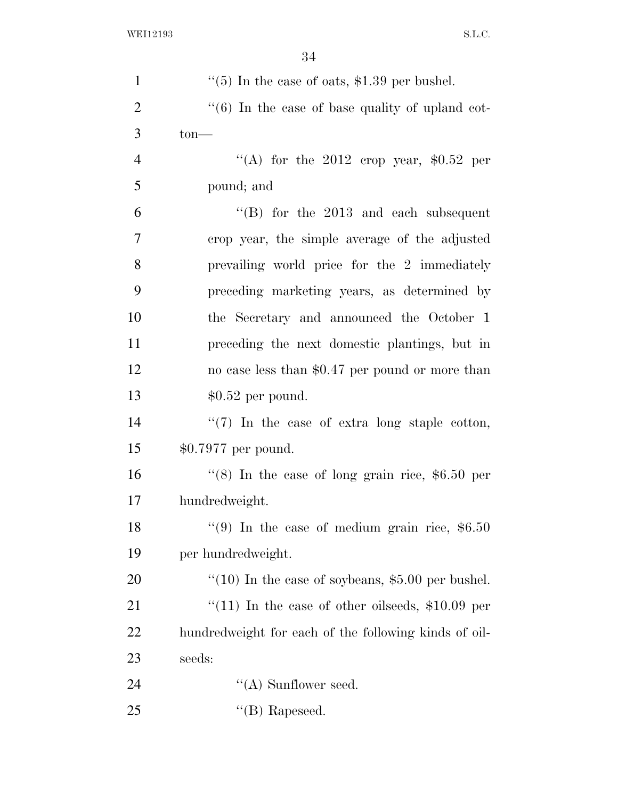| $\mathbf{1}$   | "(5) In the case of oats, $$1.39$ per bushel.               |
|----------------|-------------------------------------------------------------|
| $\overline{2}$ | $\cdot\cdot$ (6) In the case of base quality of upland cot- |
| 3              | $ton$ —                                                     |
| $\overline{4}$ | "(A) for the $2012$ crop year, \$0.52 per                   |
| 5              | pound; and                                                  |
| 6              | $\cdot$ (B) for the 2013 and each subsequent                |
| 7              | crop year, the simple average of the adjusted               |
| 8              | prevailing world price for the 2 immediately                |
| 9              | preceding marketing years, as determined by                 |
| 10             | the Secretary and announced the October 1                   |
| 11             | preceding the next domestic plantings, but in               |
| 12             | no case less than \$0.47 per pound or more than             |
| 13             | $$0.52$ per pound.                                          |
| 14             | " $(7)$ In the case of extra long staple cotton,            |
| 15             | $$0.7977$ per pound.                                        |
| 16             | "(8) In the case of long grain rice, $$6.50$ per            |
| 17             | hundredweight.                                              |
| 18             | "(9) In the case of medium grain rice, $$6.50$              |
| 19             | per hundredweight.                                          |
| 20             | " $(10)$ In the case of soybeans, \$5.00 per bushel.        |
| 21             | " $(11)$ In the case of other oilseeds, \$10.09 per         |
| <u>22</u>      | hundredweight for each of the following kinds of oil-       |
| 23             | seeds:                                                      |
| 24             | "(A) Sunflower seed.                                        |
| 25             | $\lq\lq$ (B) Rapeseed.                                      |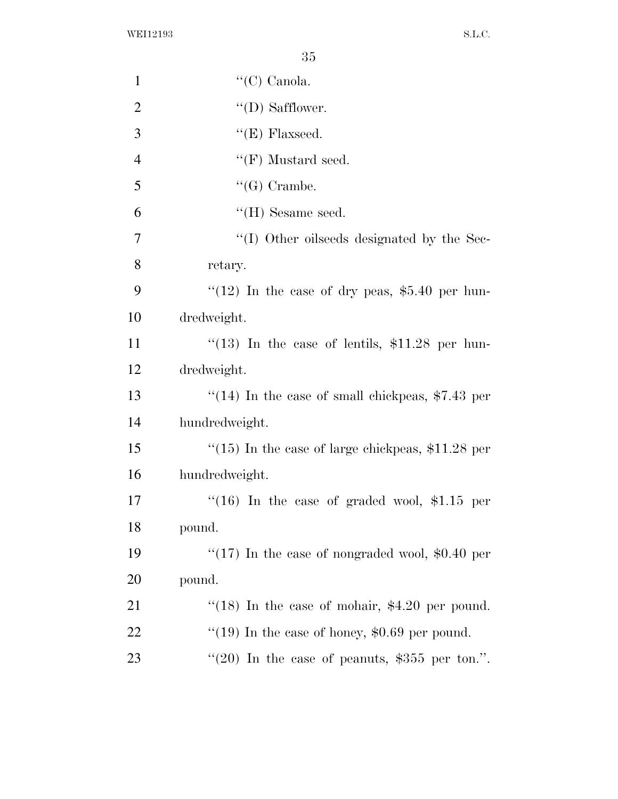| $\mathbf{1}$   | "(C) Canola.                                              |
|----------------|-----------------------------------------------------------|
| $\overline{2}$ | $\lq\lq$ (D) Safflower.                                   |
| 3              | $\lq\lq(E)$ Flaxseed.                                     |
| $\overline{4}$ | $\lq\lq(F)$ Mustard seed.                                 |
| 5              | $\lq\lq(G)$ Crambe.                                       |
| 6              | $\lq\lq(H)$ Sesame seed.                                  |
| 7              | "(I) Other oilseeds designated by the Sec-                |
| 8              | retary.                                                   |
| 9              | $\cdot\cdot(12)$ In the case of dry peas, \$5.40 per hun- |
| 10             | dredweight.                                               |
| 11             | "(13) In the case of lentils, $$11.28$ per hun-           |
| 12             | dredweight.                                               |
| 13             | " $(14)$ In the case of small chickpeas, \$7.43 per       |
| 14             | hundredweight.                                            |
| 15             | " $(15)$ In the case of large chickpeas, \$11.28 per      |
| 16             | hundredweight.                                            |
| 17             | "(16) In the case of graded wool, $$1.15$ per             |
| 18             | pound.                                                    |
| 19             | "(17) In the case of nongraded wool, $$0.40$ per          |
| 20             | pound.                                                    |
| 21             | "(18) In the case of mohair, $$4.20$ per pound.           |
| 22             | "(19) In the case of honey, $$0.69$ per pound.            |
| 23             | "(20) In the case of peanuts, $$355$ per ton.".           |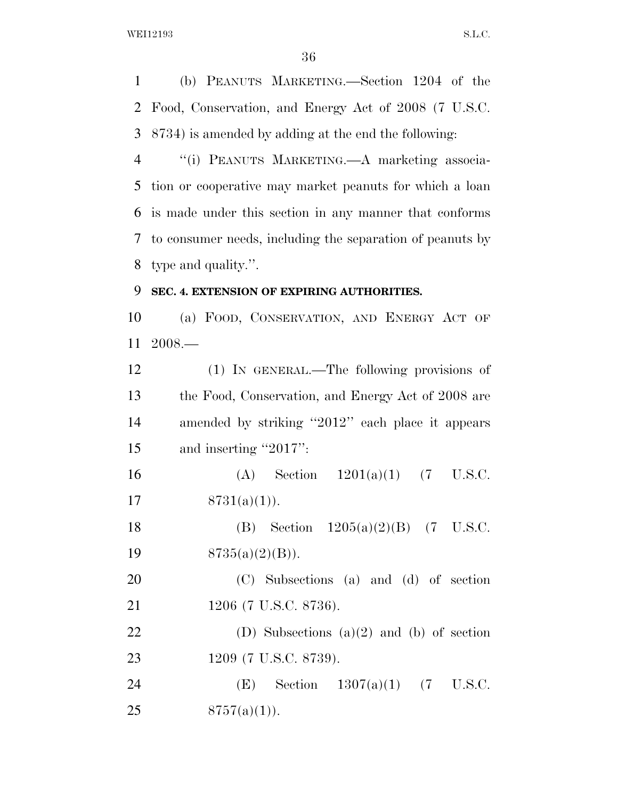(b) PEANUTS MARKETING.—Section 1204 of the Food, Conservation, and Energy Act of 2008 (7 U.S.C. 8734) is amended by adding at the end the following:

 ''(i) PEANUTS MARKETING.—A marketing associa- tion or cooperative may market peanuts for which a loan is made under this section in any manner that conforms to consumer needs, including the separation of peanuts by type and quality.''.

### **SEC. 4. EXTENSION OF EXPIRING AUTHORITIES.**

 (a) FOOD, CONSERVATION, AND ENERGY ACT OF 2008.—

 (1) IN GENERAL.—The following provisions of the Food, Conservation, and Energy Act of 2008 are amended by striking ''2012'' each place it appears 15 and inserting "2017": (A) Section 1201(a)(1) (7 U.S.C.  $8731(a)(1)$ . 18 (B) Section 1205(a)(2)(B) (7 U.S.C.  $8735(a)(2)(B)$ . (C) Subsections (a) and (d) of section 21 1206 (7 U.S.C. 8736). 22 (D) Subsections  $(a)(2)$  and  $(b)$  of section 23 1209 (7 U.S.C. 8739). (E) Section 1307(a)(1) (7 U.S.C.

25  $8757(a)(1)$ .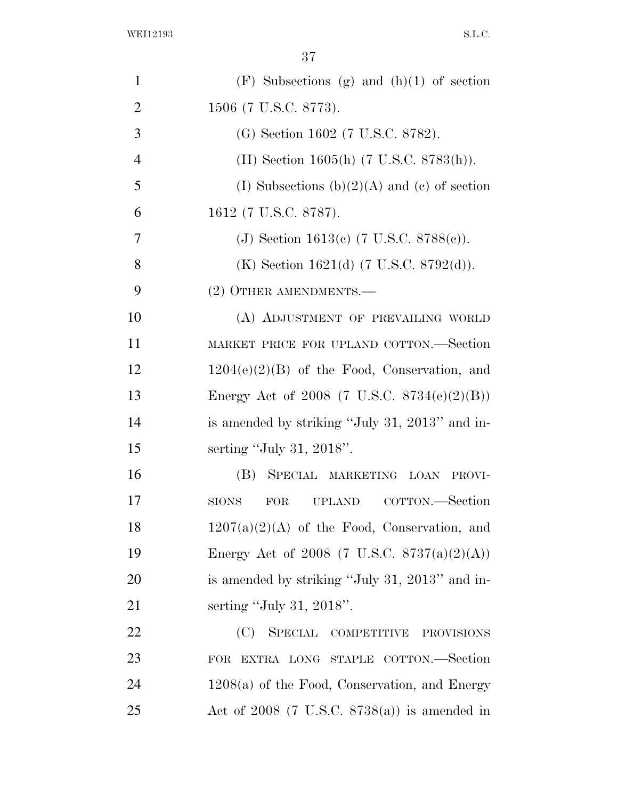| $\mathbf{1}$   | $(F)$ Subsections $(g)$ and $(h)(1)$ of section           |
|----------------|-----------------------------------------------------------|
| $\overline{2}$ | 1506 (7 U.S.C. 8773).                                     |
| 3              | (G) Section 1602 (7 U.S.C. 8782).                         |
| $\overline{4}$ | (H) Section $1605(h)$ (7 U.S.C. 8783(h)).                 |
| 5              | (I) Subsections $(b)(2)(A)$ and $(c)$ of section          |
| 6              | 1612 (7 U.S.C. 8787).                                     |
| 7              | (J) Section 1613(c) (7 U.S.C. 8788(c)).                   |
| 8              | (K) Section 1621(d) $(7 \text{ U.S.C. } 8792(d))$ .       |
| 9              | (2) OTHER AMENDMENTS.-                                    |
| 10             | (A) ADJUSTMENT OF PREVAILING WORLD                        |
| 11             | MARKET PRICE FOR UPLAND COTTON.—Section                   |
| 12             | $1204(e)(2)(B)$ of the Food, Conservation, and            |
| 13             | Energy Act of 2008 (7 U.S.C. 8734(e)(2)(B))               |
| 14             | is amended by striking "July 31, 2013" and in-            |
| 15             | serting "July 31, $2018$ ".                               |
| 16             | (B) SPECIAL MARKETING LOAN PROVI-                         |
| 17             | UPLAND COTTON.—Section<br><b>FOR</b><br><b>SIONS</b>      |
| 18             | $1207(a)(2)(A)$ of the Food, Conservation, and            |
| 19             | Energy Act of 2008 (7 U.S.C. 8737(a)(2)(A))               |
| 20             | is amended by striking "July 31, 2013" and in-            |
| 21             | serting "July 31, $2018$ ".                               |
| 22             | (C)<br><b>SPECIAL</b><br>COMPETITIVE<br><b>PROVISIONS</b> |
| 23             | EXTRA LONG STAPLE COTTON.—Section<br><b>FOR</b>           |
| 24             | $1208(a)$ of the Food, Conservation, and Energy           |
| 25             | Act of $2008$ (7 U.S.C. $8738(a)$ ) is amended in         |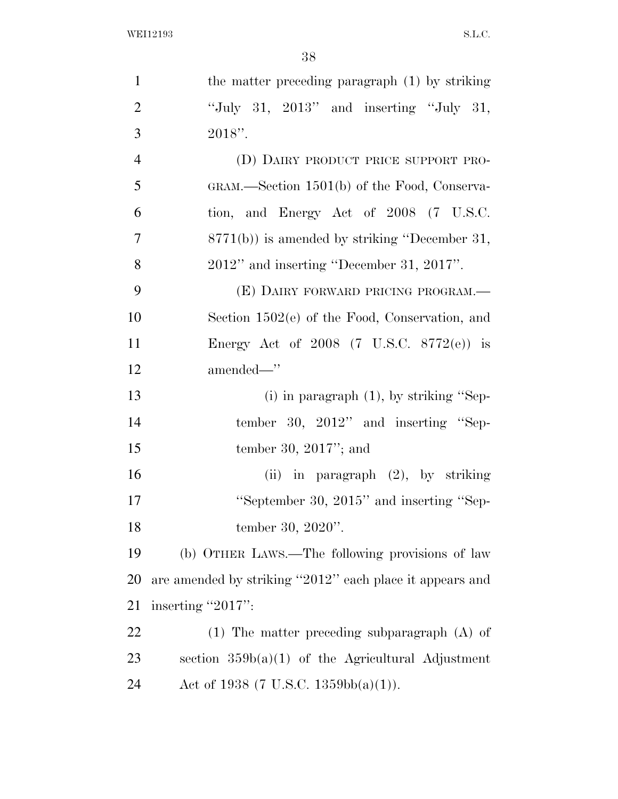| $\mathbf{1}$   | the matter preceding paragraph (1) by striking           |
|----------------|----------------------------------------------------------|
| $\overline{2}$ | "July 31, $2013$ " and inserting "July 31,               |
| 3              | $2018$ ".                                                |
| $\overline{4}$ | (D) DAIRY PRODUCT PRICE SUPPORT PRO-                     |
| 5              | GRAM.—Section 1501(b) of the Food, Conserva-             |
| 6              | tion, and Energy Act of 2008 (7 U.S.C.                   |
| $\overline{7}$ | $(8771(b))$ is amended by striking "December 31,         |
| 8              | $2012"$ and inserting "December 31, 2017".               |
| 9              | (E) DAIRY FORWARD PRICING PROGRAM.                       |
| 10             | Section $1502(e)$ of the Food, Conservation, and         |
| 11             | Energy Act of $2008$ (7 U.S.C. $8772(e)$ ) is            |
| 12             | amended—"                                                |
| 13             | (i) in paragraph $(1)$ , by striking "Sep-               |
| 14             | tember 30, 2012" and inserting "Sep-                     |
| 15             | tember 30, $2017$ "; and                                 |
| 16             | (ii) in paragraph $(2)$ , by striking                    |
| 17             | "September 30, 2015" and inserting "Sep-                 |
| 18             | tember 30, 2020".                                        |
| 19             | (b) OTHER LAWS.—The following provisions of law          |
| 20             | are amended by striking "2012" each place it appears and |
| 21             | inserting "2017":                                        |
| 22             | $(1)$ The matter preceding subparagraph $(A)$ of         |
| 23             | section $359b(a)(1)$ of the Agricultural Adjustment      |
| 24             | Act of 1938 (7 U.S.C. 1359bb(a)(1)).                     |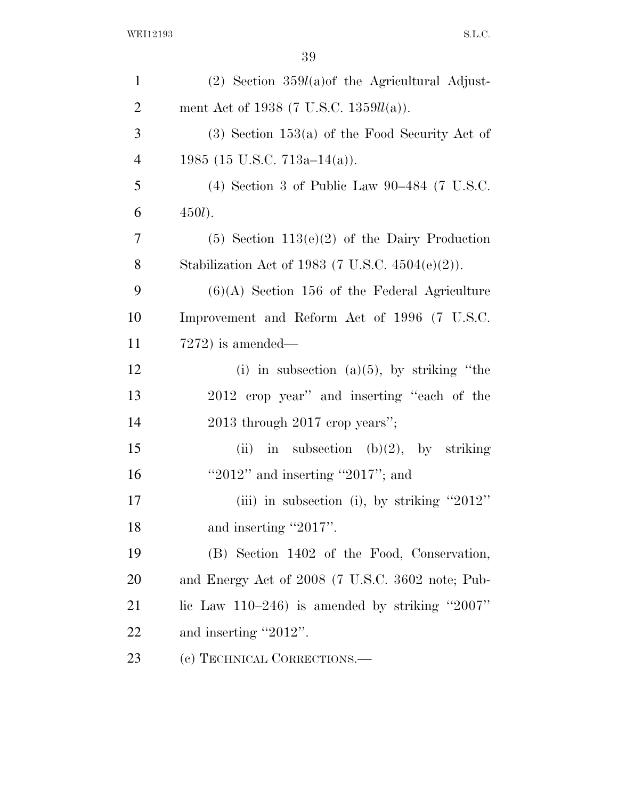| $\mathbf{1}$   | $(2)$ Section 359 $l$ (a) of the Agricultural Adjust- |
|----------------|-------------------------------------------------------|
| $\overline{2}$ | ment Act of 1938 (7 U.S.C. 1359 $ll(a)$ ).            |
| 3              | $(3)$ Section 153(a) of the Food Security Act of      |
| $\overline{4}$ | 1985 (15 U.S.C. 713a–14(a)).                          |
| 5              | $(4)$ Section 3 of Public Law 90–484 (7 U.S.C.        |
| 6              | $450l$ .                                              |
| 7              | $(5)$ Section 113(e)(2) of the Dairy Production       |
| 8              | Stabilization Act of 1983 (7 U.S.C. $4504(e)(2)$ ).   |
| 9              | $(6)(A)$ Section 156 of the Federal Agriculture       |
| 10             | Improvement and Reform Act of 1996 (7 U.S.C.          |
| 11             | $7272$ ) is amended—                                  |
| 12             | (i) in subsection (a) $(5)$ , by striking "the        |
| 13             | 2012 crop year" and inserting "each of the            |
| 14             | $2013$ through $2017$ crop years";                    |
| 15             | in subsection (b)(2), by striking<br>(ii)             |
| 16             | " $2012"$ and inserting " $2017"$ ; and               |
| 17             | (iii) in subsection (i), by striking "2012"           |
| 18             | and inserting "2017".                                 |
| 19             | (B) Section 1402 of the Food, Conservation,           |
| 20             | and Energy Act of 2008 (7 U.S.C. 3602 note; Pub-      |
| 21             | lic Law $110-246$ ) is amended by striking "2007"     |
| 22             | and inserting "2012".                                 |
| 23             | (c) TECHNICAL CORRECTIONS.—                           |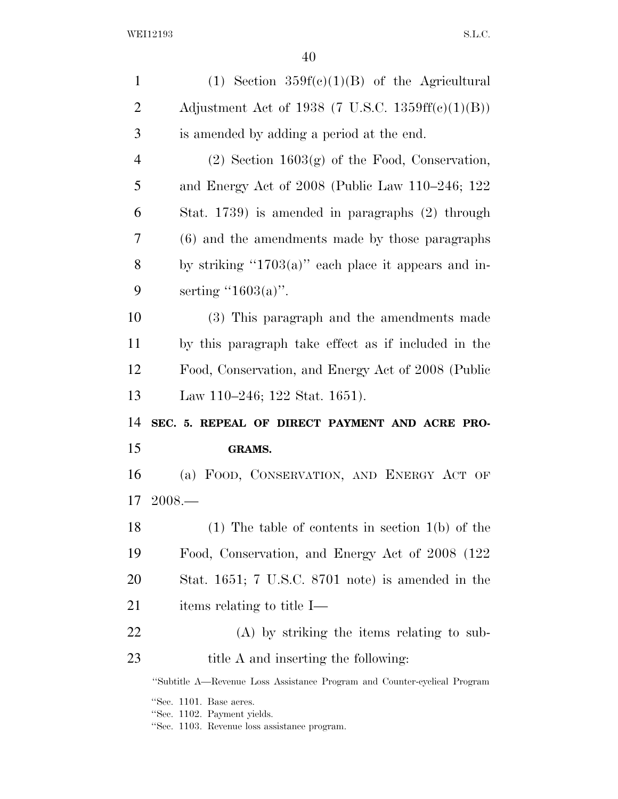| $\mathbf{1}$   | (1) Section $359f(c)(1)(B)$ of the Agricultural                          |
|----------------|--------------------------------------------------------------------------|
| $\overline{2}$ | Adjustment Act of 1938 (7 U.S.C. $1359ff(c)(1)(B))$                      |
| 3              | is amended by adding a period at the end.                                |
| $\overline{4}$ | $(2)$ Section 1603 $(g)$ of the Food, Conservation,                      |
| 5              | and Energy Act of $2008$ (Public Law $110-246$ ; $122$                   |
| 6              | Stat. 1739) is amended in paragraphs (2) through                         |
| 7              | (6) and the amendments made by those paragraphs                          |
| 8              | by striking " $1703(a)$ " each place it appears and in-                  |
| 9              | serting " $1603(a)$ ".                                                   |
| 10             | (3) This paragraph and the amendments made                               |
| 11             | by this paragraph take effect as if included in the                      |
| 12             | Food, Conservation, and Energy Act of 2008 (Public                       |
| 13             | Law 110–246; 122 Stat. 1651).                                            |
| 14             | SEC. 5. REPEAL OF DIRECT PAYMENT AND ACRE PRO-                           |
| 15             | <b>GRAMS.</b>                                                            |
| 16             | (a) FOOD, CONSERVATION, AND ENERGY ACT OF                                |
| 17             | $2008-$                                                                  |
| 18             | $(1)$ The table of contents in section 1(b) of the                       |
| 19             | Food, Conservation, and Energy Act of 2008 (122)                         |
| 20             | Stat. $1651$ ; 7 U.S.C. 8701 note) is amended in the                     |
| 21             | items relating to title I—                                               |
| 22             | $(A)$ by striking the items relating to sub-                             |
| 23             | title A and inserting the following:                                     |
|                | "Subtitle A—Revenue Loss Assistance Program and Counter-cyclical Program |
|                | "Sec. 1101. Base acres.<br>$^{4}$ $\%$ <sub>00</sub> 1109 Dormont riolde |

<sup>&#</sup>x27;'Sec. 1102. Payment yields.

''Sec. 1103. Revenue loss assistance program.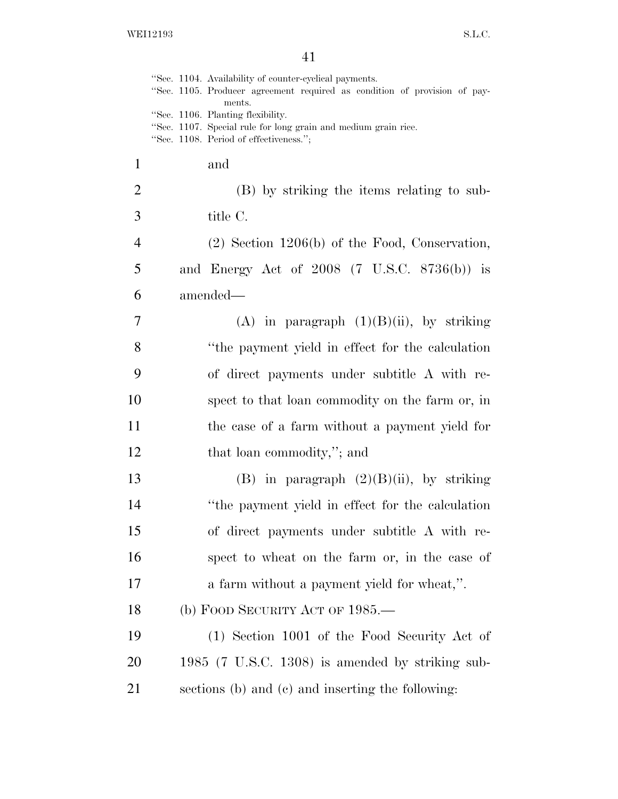|                | "Sec. 1104. Availability of counter-cyclical payments.<br>"Sec. 1105. Producer agreement required as condition of provision of pay-<br>ments.<br>"Sec. 1106. Planting flexibility. |
|----------------|------------------------------------------------------------------------------------------------------------------------------------------------------------------------------------|
|                | "Sec. 1107. Special rule for long grain and medium grain rice.<br>"Sec. 1108. Period of effectiveness.";                                                                           |
| $\mathbf{1}$   | and                                                                                                                                                                                |
| $\overline{2}$ | (B) by striking the items relating to sub-                                                                                                                                         |
| 3              | title C.                                                                                                                                                                           |
| $\overline{4}$ | $(2)$ Section 1206(b) of the Food, Conservation,                                                                                                                                   |
| 5              | and Energy Act of $2008$ (7 U.S.C. $8736(b)$ ) is                                                                                                                                  |
| 6              | amended—                                                                                                                                                                           |
| 7              | (A) in paragraph $(1)(B)(ii)$ , by striking                                                                                                                                        |
| 8              | "the payment yield in effect for the calculation"                                                                                                                                  |
| 9              | of direct payments under subtitle A with re-                                                                                                                                       |
| 10             | spect to that loan commodity on the farm or, in                                                                                                                                    |
| 11             | the case of a farm without a payment yield for                                                                                                                                     |
| 12             | that loan commodity,"; and                                                                                                                                                         |
| 13             | (B) in paragraph $(2)(B)(ii)$ , by striking                                                                                                                                        |
| 14             | "the payment yield in effect for the calculation"                                                                                                                                  |
| 15             | of direct payments under subtitle A with re-                                                                                                                                       |
| 16             | spect to wheat on the farm or, in the case of                                                                                                                                      |
| 17             | a farm without a payment yield for wheat,".                                                                                                                                        |
| 18             | (b) FOOD SECURITY ACT OF $1985$ .                                                                                                                                                  |
| 19             | (1) Section 1001 of the Food Security Act of                                                                                                                                       |
| 20             | $1985$ (7 U.S.C. 1308) is amended by striking sub-                                                                                                                                 |
| 21             | sections (b) and (c) and inserting the following:                                                                                                                                  |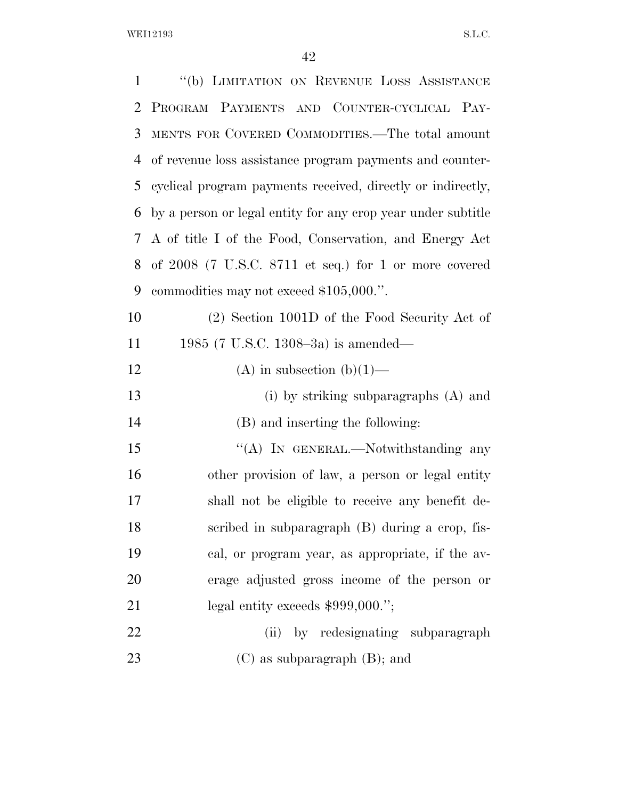| $\mathbf{1}$ | "(b) LIMITATION ON REVENUE LOSS ASSISTANCE                   |
|--------------|--------------------------------------------------------------|
| 2            | PROGRAM PAYMENTS AND COUNTER-CYCLICAL PAY-                   |
| 3            | MENTS FOR COVERED COMMODITIES.—The total amount              |
| 4            | of revenue loss assistance program payments and counter-     |
| 5            | cyclical program payments received, directly or indirectly,  |
| 6            | by a person or legal entity for any crop year under subtitle |
|              | 7 A of title I of the Food, Conservation, and Energy Act     |
| 8            | of $2008$ (7 U.S.C. 8711 et seq.) for 1 or more covered      |
| 9            | commodities may not exceed \$105,000.".                      |
| 10           | (2) Section 1001D of the Food Security Act of                |
| 11           | 1985 (7 U.S.C. 1308–3a) is amended—                          |
| 12           | (A) in subsection (b) $(1)$ —                                |
| 13           | $(i)$ by striking subparagraphs $(A)$ and                    |
| 14           | (B) and inserting the following:                             |
| 15           | "(A) IN GENERAL.—Notwithstanding any                         |
| 16           | other provision of law, a person or legal entity             |
| 17           | shall not be eligible to receive any benefit de-             |
| 18           | scribed in subparagraph (B) during a crop, fis-              |
| 19           | cal, or program year, as appropriate, if the av-             |
| 20           | erage adjusted gross income of the person or                 |
| 21           | legal entity exceeds $$999,000."$ ;                          |
| 22           | (ii) by redesignating subparagraph                           |
| 23           | $(C)$ as subparagraph $(B)$ ; and                            |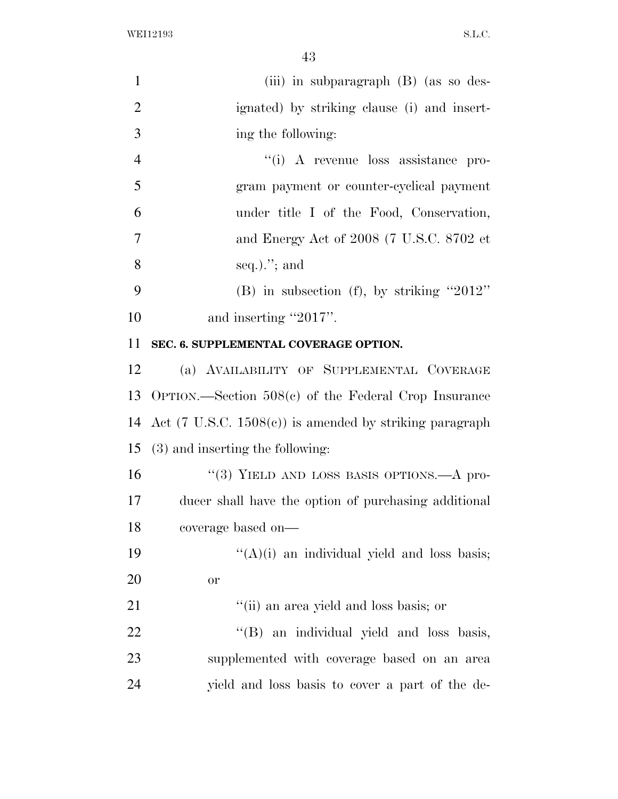| $\mathbf{1}$   | (iii) in subparagraph $(B)$ (as so des-                            |
|----------------|--------------------------------------------------------------------|
| $\overline{2}$ | ignated) by striking clause (i) and insert-                        |
| 3              | ing the following:                                                 |
| $\overline{4}$ | "(i) A revenue loss assistance pro-                                |
| 5              | gram payment or counter-cyclical payment                           |
| 6              | under title I of the Food, Conservation,                           |
| 7              | and Energy Act of 2008 (7 U.S.C. 8702 et                           |
| 8              | seq.). $";$ and                                                    |
| 9              | (B) in subsection (f), by striking "2012"                          |
| 10             | and inserting "2017".                                              |
| 11             | SEC. 6. SUPPLEMENTAL COVERAGE OPTION.                              |
| 12             | (a) AVAILABILITY OF SUPPLEMENTAL COVERAGE                          |
| 13             | OPTION.—Section $508(c)$ of the Federal Crop Insurance             |
| 14             | Act $(7 \text{ U.S.C. } 1508(c))$ is amended by striking paragraph |
| 15             | (3) and inserting the following:                                   |
| 16             | "(3) YIELD AND LOSS BASIS OPTIONS.—A pro-                          |
| 17             | ducer shall have the option of purchasing additional               |
| 18             | coverage based on-                                                 |
| 19             | " $(A)(i)$ an individual yield and loss basis;                     |
| 20             | <b>or</b>                                                          |
| 21             | "(ii) an area yield and loss basis; or                             |
| 22             | "(B) an individual yield and loss basis,                           |
| 23             | supplemented with coverage based on an area                        |
| 24             | yield and loss basis to cover a part of the de-                    |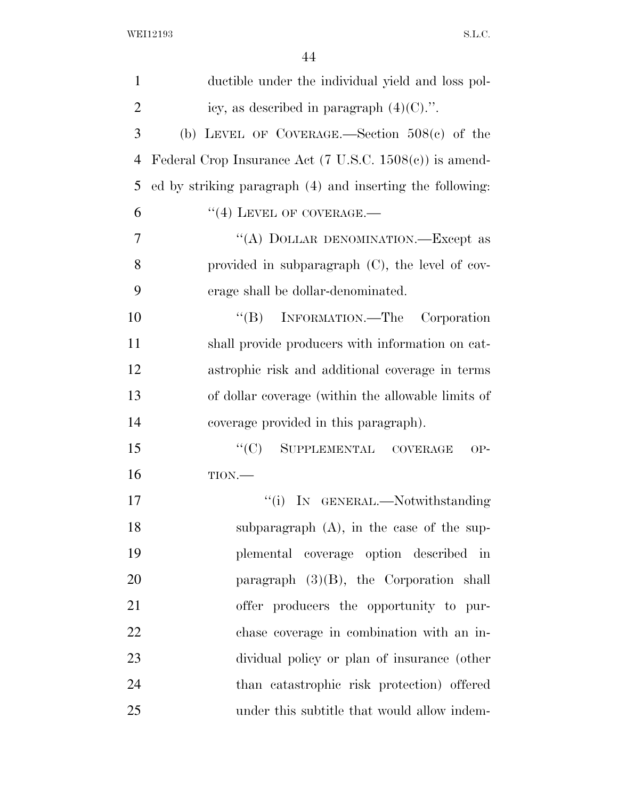| $\mathbf{1}$   | ductible under the individual yield and loss pol-                  |
|----------------|--------------------------------------------------------------------|
| $\overline{2}$ | icy, as described in paragraph $(4)(C)$ .".                        |
| 3              | (b) LEVEL OF COVERAGE.—Section $508(e)$ of the                     |
| $\overline{4}$ | Federal Crop Insurance Act $(7 \text{ U.S.C. } 1508(c))$ is amend- |
| 5              | ed by striking paragraph (4) and inserting the following:          |
| 6              | $``(4)$ LEVEL OF COVERAGE.—                                        |
| 7              | "(A) DOLLAR DENOMINATION.—Except as                                |
| 8              | provided in subparagraph (C), the level of cov-                    |
| 9              | erage shall be dollar-denominated.                                 |
| 10             | "(B) INFORMATION.—The Corporation                                  |
| 11             | shall provide producers with information on cat-                   |
| 12             | astrophic risk and additional coverage in terms                    |
| 13             | of dollar coverage (within the allowable limits of                 |
| 14             | coverage provided in this paragraph).                              |
| 15             | $``(C)$ SUPPLEMENTAL COVERAGE<br>$OP-$                             |
| 16             | TION.                                                              |
| 17             | ``(i)<br>IN GENERAL.—Notwithstanding                               |
| 18             | subparagraph $(A)$ , in the case of the sup-                       |
| 19             | plemental coverage option described in                             |
| 20             | paragraph $(3)(B)$ , the Corporation shall                         |
| 21             | offer producers the opportunity to pur-                            |
| 22             | chase coverage in combination with an in-                          |
| 23             | dividual policy or plan of insurance (other                        |
| 24             | than catastrophic risk protection) offered                         |
| 25             | under this subtitle that would allow indem-                        |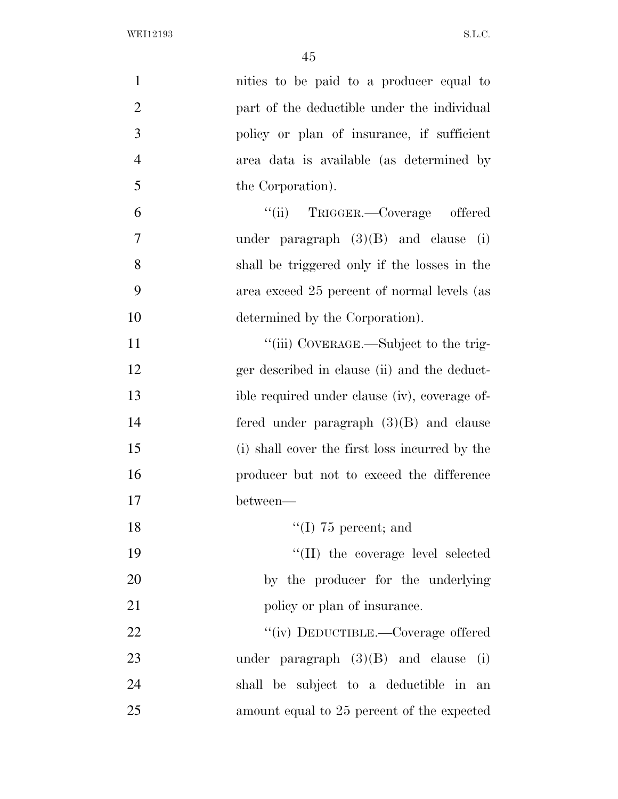| $\mathbf{1}$   | nities to be paid to a producer equal to       |
|----------------|------------------------------------------------|
| $\overline{2}$ | part of the deductible under the individual    |
| 3              | policy or plan of insurance, if sufficient     |
| $\overline{4}$ | area data is available (as determined by       |
| 5              | the Corporation).                              |
| 6              | "(ii) TRIGGER.—Coverage offered                |
| 7              | under paragraph $(3)(B)$ and clause (i)        |
| 8              | shall be triggered only if the losses in the   |
| 9              | area exceed 25 percent of normal levels (as    |
| 10             | determined by the Corporation.                 |
| 11             | "(iii) COVERAGE.—Subject to the trig-          |
| 12             | ger described in clause (ii) and the deduct-   |
| 13             | ible required under clause (iv), coverage of-  |
| 14             | fered under paragraph $(3)(B)$ and clause      |
| 15             | (i) shall cover the first loss incurred by the |
| 16             | producer but not to exceed the difference      |
| 17             | between—                                       |
| 18             | $\lq($ I) 75 percent; and                      |
| 19             | "(II) the coverage level selected              |
| 20             | by the producer for the underlying             |
| 21             | policy or plan of insurance.                   |
| 22             | "(iv) DEDUCTIBLE.—Coverage offered             |
| 23             | under paragraph $(3)(B)$ and clause<br>(i)     |
| 24             | shall be subject to a deductible in an         |
| 25             | amount equal to 25 percent of the expected     |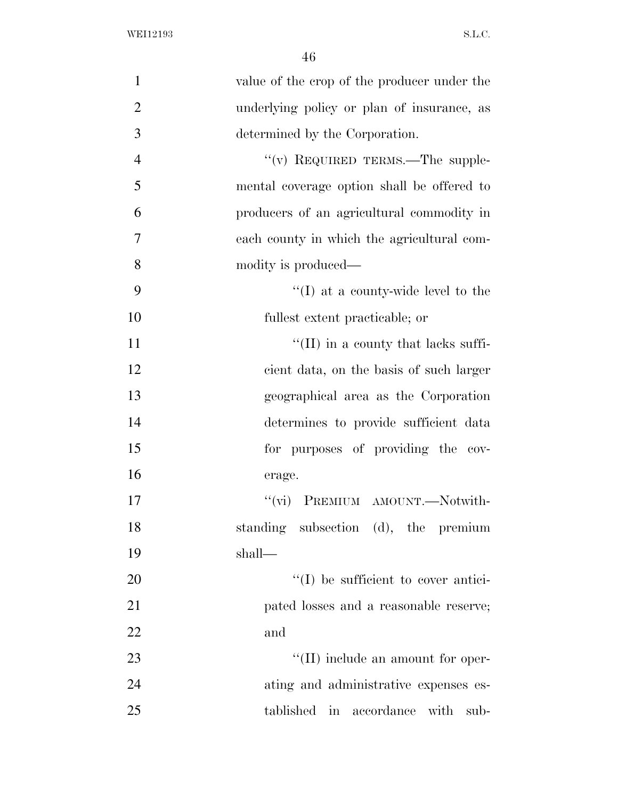| $\mathbf{1}$   | value of the crop of the producer under the |
|----------------|---------------------------------------------|
| $\overline{2}$ | underlying policy or plan of insurance, as  |
| 3              | determined by the Corporation.              |
| $\overline{4}$ | "(v) REQUIRED TERMS.—The supple-            |
| 5              | mental coverage option shall be offered to  |
| 6              | producers of an agricultural commodity in   |
| 7              | each county in which the agricultural com-  |
| 8              | modity is produced—                         |
| 9              | "(I) at a county-wide level to the          |
| 10             | fullest extent practicable; or              |
| 11             | $\lq\lq$ (II) in a county that lacks suffi- |
| 12             | cient data, on the basis of such larger     |
| 13             | geographical area as the Corporation        |
| 14             | determines to provide sufficient data       |
| 15             | for purposes of providing the cov-          |
| 16             | erage.                                      |
| 17             | "(vi) PREMIUM AMOUNT.—Notwith-              |
| 18             | standing subsection (d), the premium        |
| 19             | shall—                                      |
| 20             | $\lq\lq$ (I) be sufficient to cover antici- |
| 21             | pated losses and a reasonable reserve;      |
| 22             | and                                         |
| 23             | $``(II)$ include an amount for oper-        |
| 24             | ating and administrative expenses es-       |
| 25             | tablished in accordance with<br>sub-        |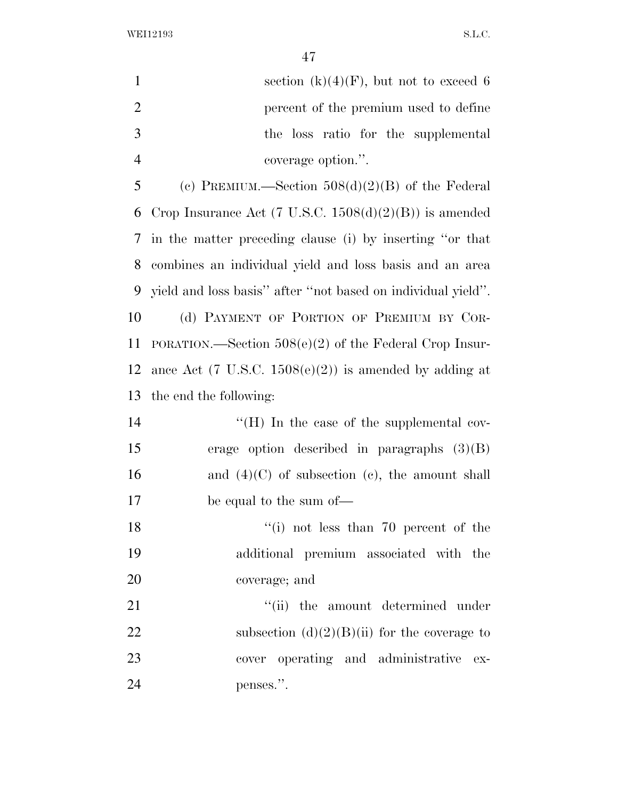| $\mathbf{1}$   | section $(k)(4)(F)$ , but not to exceed 6                         |
|----------------|-------------------------------------------------------------------|
| $\overline{2}$ | percent of the premium used to define                             |
| 3              | the loss ratio for the supplemental                               |
| $\overline{4}$ | coverage option."                                                 |
| 5              | (c) PREMIUM.—Section $508(d)(2)(B)$ of the Federal                |
| 6              | Crop Insurance Act $(7 \text{ U.S.C. } 1508(d)(2)(B))$ is amended |
| 7              | in the matter preceding clause (i) by inserting "or that          |
| 8              | combines an individual yield and loss basis and an area           |
| 9              | yield and loss basis" after "not based on individual yield".      |
| 10             | (d) PAYMENT OF PORTION OF PREMIUM BY COR-                         |
| 11             | PORATION.—Section $508(e)(2)$ of the Federal Crop Insur-          |
| 12             | ance Act $(7 \text{ U.S.C. } 1508(e)(2))$ is amended by adding at |
|                | the end the following:                                            |
| 13             |                                                                   |
| 14             | "(H) In the case of the supplemental cov-                         |
| 15             | erage option described in paragraphs $(3)(B)$                     |
| 16             | and $(4)(C)$ of subsection (c), the amount shall                  |
| 17             | be equal to the sum of—                                           |
| 18             | "(i) not less than 70 percent of the                              |
| 19             | additional premium associated with the                            |
| 20             | coverage; and                                                     |
| 21             | "(ii) the amount determined under                                 |
| 22             | subsection $(d)(2)(B)(ii)$ for the coverage to                    |
| 23             | cover operating and administrative ex-                            |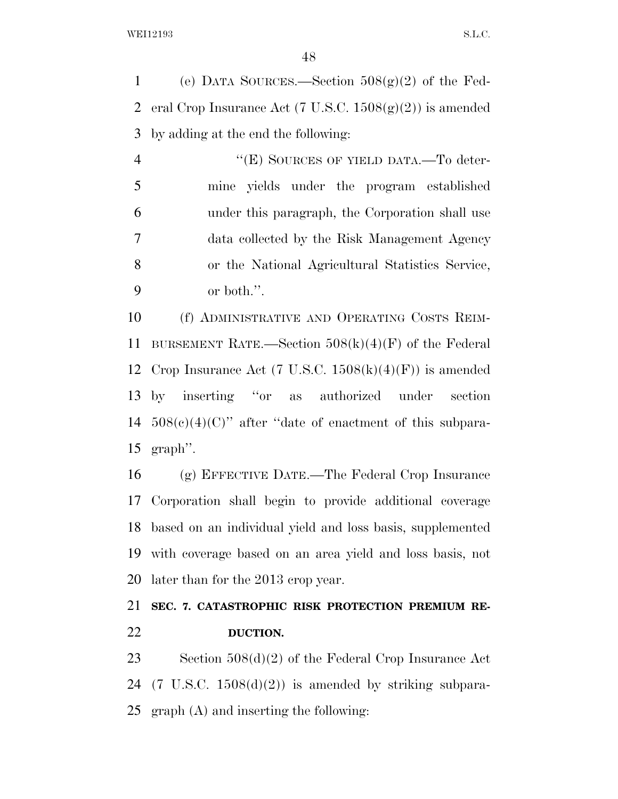1 (e) DATA SOURCES.—Section  $508(g)(2)$  of the Fed-2 eral Crop Insurance Act (7 U.S.C.  $1508(g)(2)$ ) is amended by adding at the end the following:

 ''(E) SOURCES OF YIELD DATA.—To deter- mine yields under the program established under this paragraph, the Corporation shall use data collected by the Risk Management Agency or the National Agricultural Statistics Service, or both.''.

 (f) ADMINISTRATIVE AND OPERATING COSTS REIM- BURSEMENT RATE.—Section 508(k)(4)(F) of the Federal 12 Crop Insurance Act  $(7 \text{ U.S.C. } 1508(k)(4)(F))$  is amended by inserting ''or as authorized under section  $508(c)(4)(C)$ " after "date of enactment of this subpara-graph''.

 (g) EFFECTIVE DATE.—The Federal Crop Insurance Corporation shall begin to provide additional coverage based on an individual yield and loss basis, supplemented with coverage based on an area yield and loss basis, not later than for the 2013 crop year.

### **SEC. 7. CATASTROPHIC RISK PROTECTION PREMIUM RE-DUCTION.**

 Section 508(d)(2) of the Federal Crop Insurance Act 24 (7 U.S.C.  $1508(d)(2)$ ) is amended by striking subpara-graph (A) and inserting the following: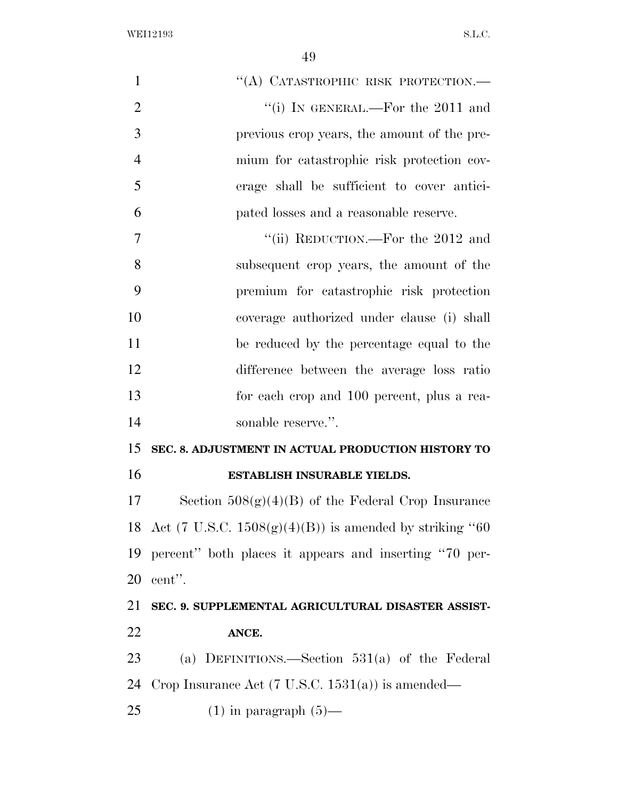| $\mathbf{1}$   | "(A) CATASTROPHIC RISK PROTECTION.-                           |
|----------------|---------------------------------------------------------------|
| $\overline{2}$ | "(i) IN GENERAL.—For the $2011$ and                           |
| 3              | previous crop years, the amount of the pre-                   |
| $\overline{4}$ | mium for catastrophic risk protection cov-                    |
| 5              | erage shall be sufficient to cover antici-                    |
| 6              | pated losses and a reasonable reserve.                        |
| 7              | "(ii) REDUCTION.—For the 2012 and                             |
| 8              | subsequent crop years, the amount of the                      |
| 9              | premium for catastrophic risk protection                      |
| 10             | coverage authorized under clause (i) shall                    |
| 11             | be reduced by the percentage equal to the                     |
| 12             | difference between the average loss ratio                     |
| 13             | for each crop and 100 percent, plus a rea-                    |
| 14             | sonable reserve.".                                            |
| 15             | SEC. 8. ADJUSTMENT IN ACTUAL PRODUCTION HISTORY TO            |
| 16             | ESTABLISH INSURABLE YIELDS.                                   |
| 17             | Section $508(g)(4)(B)$ of the Federal Crop Insurance          |
|                | 18 Act (7 U.S.C. $1508(g)(4)(B)$ ) is amended by striking "60 |
| 19             | percent" both places it appears and inserting "70 per-        |
| 20             | cent".                                                        |
| 21             | SEC. 9. SUPPLEMENTAL AGRICULTURAL DISASTER ASSIST-            |
| 22             | ANCE.                                                         |
| 23             | (a) DEFINITIONS.—Section $531(a)$ of the Federal              |
| 24             | Crop Insurance Act $(7 \text{ U.S.C. } 1531(a))$ is amended—  |
| 25             | $(1)$ in paragraph $(5)$ —                                    |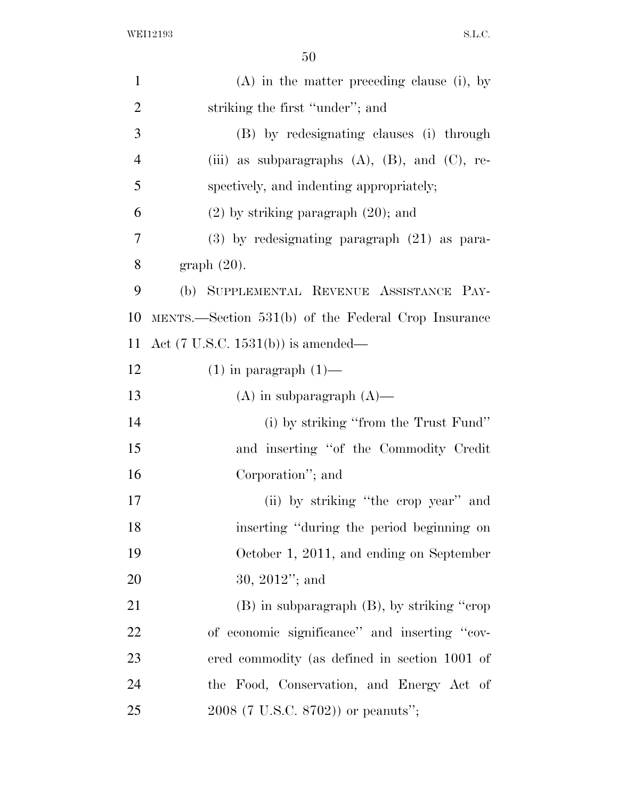| $\mathbf{1}$   | $(A)$ in the matter preceding clause (i), by           |
|----------------|--------------------------------------------------------|
| $\overline{2}$ | striking the first "under"; and                        |
| 3              | (B) by redesignating clauses (i) through               |
| $\overline{4}$ | (iii) as subparagraphs $(A)$ , $(B)$ , and $(C)$ , re- |
| 5              | spectively, and indenting appropriately;               |
| 6              | $(2)$ by striking paragraph $(20)$ ; and               |
| 7              | $(3)$ by redesignating paragraph $(21)$ as para-       |
| 8              | $graph(20)$ .                                          |
| 9              | (b) SUPPLEMENTAL REVENUE ASSISTANCE PAY-               |
| 10             | MENTS.—Section $531(b)$ of the Federal Crop Insurance  |
| 11             | Act $(7 \text{ U.S.C. } 1531(b))$ is amended—          |
| 12             | $(1)$ in paragraph $(1)$ —                             |
| 13             | $(A)$ in subparagraph $(A)$ —                          |
| 14             | (i) by striking "from the Trust Fund"                  |
| 15             | and inserting "of the Commodity Credit                 |
| 16             | Corporation"; and                                      |
| 17             | (ii) by striking "the crop year" and                   |
| 18             | inserting "during the period beginning on              |
| 19             | October 1, 2011, and ending on September               |
| 20             | $30, 2012$ "; and                                      |
| 21             | $(B)$ in subparagraph $(B)$ , by striking "crop"       |
| 22             | of economic significance" and inserting "cov-          |
| 23             | ered commodity (as defined in section 1001 of          |
| 24             | the Food, Conservation, and Energy Act of              |
| 25             | 2008 (7 U.S.C. 8702)) or peanuts";                     |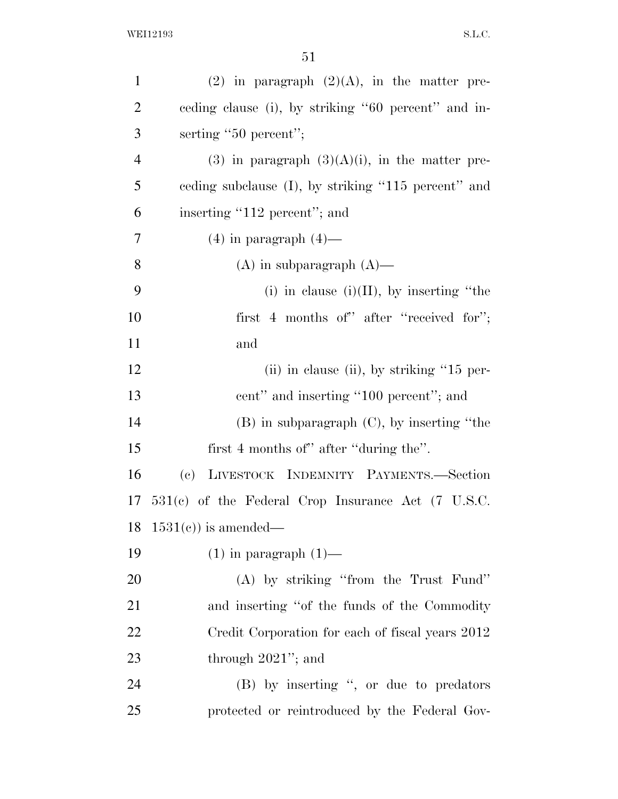| $\mathbf{1}$   | (2) in paragraph $(2)(A)$ , in the matter pre-       |
|----------------|------------------------------------------------------|
| $\overline{2}$ | ceding clause (i), by striking "60 percent" and in-  |
| 3              | serting "50 percent";                                |
| $\overline{4}$ | (3) in paragraph $(3)(A)(i)$ , in the matter pre-    |
| 5              | ceding subclause (I), by striking "115 percent" and  |
| 6              | inserting "112 percent"; and                         |
| 7              | $(4)$ in paragraph $(4)$ —                           |
| 8              | $(A)$ in subparagraph $(A)$ —                        |
| 9              | (i) in clause (i)(II), by inserting "the             |
| 10             | first 4 months of" after "received for";             |
| 11             | and                                                  |
| 12             | $(ii)$ in clause $(ii)$ , by striking "15 per-       |
| 13             | cent" and inserting "100 percent"; and               |
| 14             | $(B)$ in subparagraph $(C)$ , by inserting "the      |
| 15             | first 4 months of" after "during the".               |
| 16             | (c) LIVESTOCK INDEMNITY PAYMENTS.-Section            |
| 17             | $531(c)$ of the Federal Crop Insurance Act (7 U.S.C. |
| 18             | $1531(c)$ is amended—                                |
| 19             | $(1)$ in paragraph $(1)$ —                           |
| 20             | (A) by striking "from the Trust Fund"                |
| 21             | and inserting "of the funds of the Commodity"        |
| 22             | Credit Corporation for each of fiscal years 2012     |
| 23             | through $2021$ "; and                                |
| 24             | (B) by inserting ", or due to predators              |
| 25             | protected or reintroduced by the Federal Gov-        |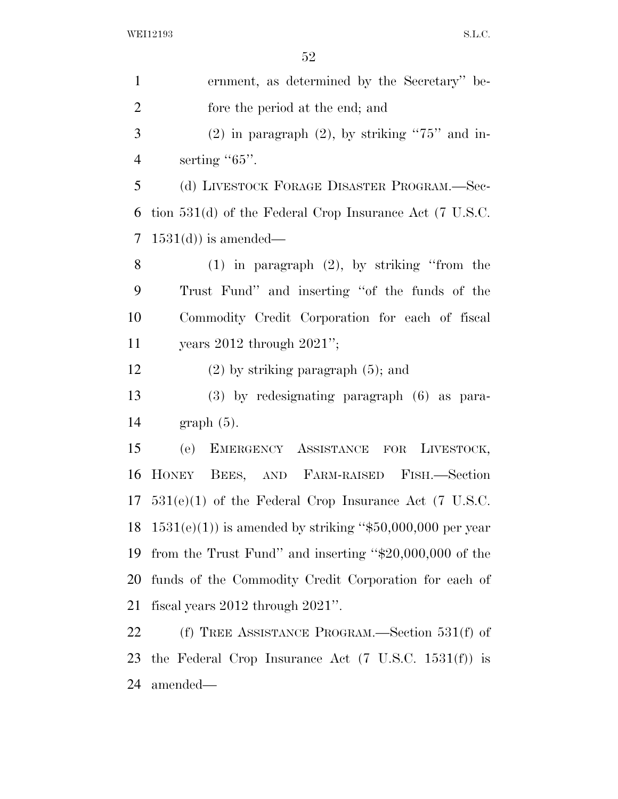| $\mathbf{1}$   | ernment, as determined by the Secretary" be-                           |
|----------------|------------------------------------------------------------------------|
| $\overline{2}$ | fore the period at the end; and                                        |
| 3              | $(2)$ in paragraph $(2)$ , by striking "75" and in-                    |
| $\overline{4}$ | serting " $65$ ".                                                      |
| 5              | (d) LIVESTOCK FORAGE DISASTER PROGRAM.—Sec-                            |
| 6              | tion $531(d)$ of the Federal Crop Insurance Act (7 U.S.C.              |
| 7              | $1531(d)$ is amended—                                                  |
| 8              | $(1)$ in paragraph $(2)$ , by striking "from the                       |
| 9              | Trust Fund" and inserting "of the funds of the                         |
| 10             | Commodity Credit Corporation for each of fiscal                        |
| 11             | years $2012$ through $2021$ ";                                         |
| 12             | $(2)$ by striking paragraph $(5)$ ; and                                |
| 13             | $(3)$ by redesignating paragraph $(6)$ as para-                        |
| 14             | $graph(5)$ .                                                           |
| 15             | EMERGENCY ASSISTANCE FOR LIVESTOCK,<br>(e)                             |
| 16             | <b>HONEY</b><br>BEES, AND FARM-RAISED FISH.-Section                    |
|                | 17 $531(e)(1)$ of the Federal Crop Insurance Act (7 U.S.C.             |
| 18             | $1531(e)(1)$ is amended by striking "\$50,000,000 per year             |
| 19             | from the Trust Fund" and inserting " $$20,000,000$ of the              |
| 20             | funds of the Commodity Credit Corporation for each of                  |
| 21             | fiscal years 2012 through 2021".                                       |
| 22             | (f) TREE ASSISTANCE PROGRAM.—Section $531(f)$ of                       |
| 23             | the Federal Crop Insurance Act $(7 \text{ U.S.C. } 1531(\text{f}))$ is |
| 24             | amended—                                                               |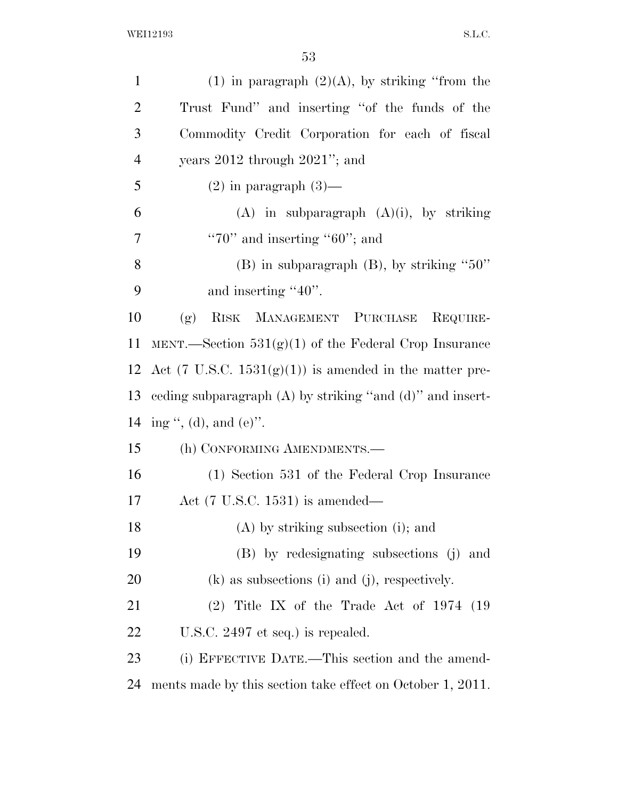| $\mathbf{1}$   | $(1)$ in paragraph $(2)(A)$ , by striking "from the                |
|----------------|--------------------------------------------------------------------|
| $\overline{2}$ | Trust Fund" and inserting "of the funds of the                     |
| 3              | Commodity Credit Corporation for each of fiscal                    |
| $\overline{4}$ | years $2012$ through $2021$ "; and                                 |
| 5              | $(2)$ in paragraph $(3)$ —                                         |
| 6              | $(A)$ in subparagraph $(A)(i)$ , by striking                       |
| $\tau$         | "70" and inserting " $60$ "; and                                   |
| 8              | $(B)$ in subparagraph $(B)$ , by striking "50"                     |
| 9              | and inserting "40".                                                |
| 10             | RISK MANAGEMENT PURCHASE<br>(g)<br>REQUIRE-                        |
| 11             | MENT.—Section $531(g)(1)$ of the Federal Crop Insurance            |
| 12             | Act $(7 \text{ U.S.C. } 1531(g)(1))$ is amended in the matter pre- |
| 13             | eeding subparagraph $(A)$ by striking "and $(d)$ " and insert-     |
| 14             | ing ", (d), and $(e)$ ".                                           |
| 15             | (h) CONFORMING AMENDMENTS.-                                        |
| 16             | (1) Section 531 of the Federal Crop Insurance                      |
| 17             | Act $(7 \text{ U.S.C. } 1531)$ is amended—                         |
| 18             | (A) by striking subsection (i); and                                |
| 19             | (B) by redesignating subsections (j) and                           |
| 20             | $(k)$ as subsections (i) and (j), respectively.                    |
| 21             | $(2)$ Title IX of the Trade Act of 1974 $(19)$                     |
| 22             | U.S.C. $2497$ et seq.) is repealed.                                |
| 23             | (i) EFFECTIVE DATE.—This section and the amend-                    |
| 24             | ments made by this section take effect on October 1, 2011.         |